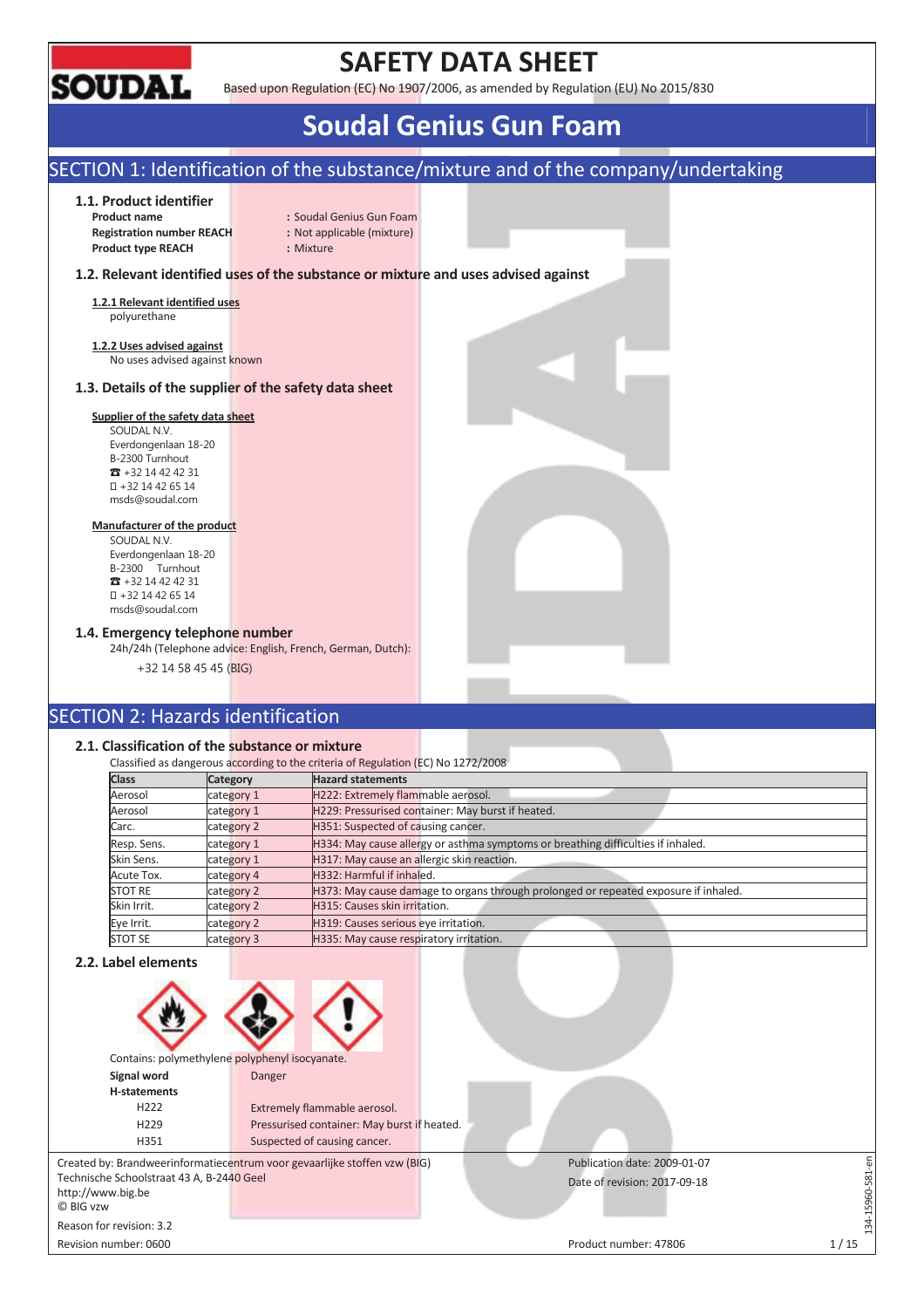

# **SAFETY DATA SHEET**

Based upon Regulation (EC) No 1907/2006, as amended by Regulation (EU) No 2015/830

# **Soudal Genius Gun Foam**

## SECTION 1: Identification of the substance/mixture and of the company/undertaking

### **1.1. Product identifier**

**Registration number REACH :** Not applicable (mixture) **Product type REACH :** Mixture

**Product name** : Soudal Genius Gun Foam

### **1.2. Relevant identified uses of the substance or mixture and uses advised against**

**1.2.1 Relevant identified uses**  polyurethane

**1.2.2 Uses advised against**  No uses advised against known

### **1.3. Details of the supplier of the safety data sheet**

### **Supplier of the safety data sheet**

SOUDAL N.V. Everdongenlaan 18-20 B-2300 Turnhout  $\overline{3}$  +32 14 42 42 31 +32 14 42 65 14 msds@soudal.com

### **Manufacturer of the product**

SOUDAL N.V. Everdongenlaan 18-20 B-2300 Turnhout  $\overline{3}$  +32 14 42 42 31 +32 14 42 65 14 msds@soudal.com

### **1.4. Emergency telephone number**

24h/24h (Telephone advice: English, French, German, Dutch):

+32 14 58 45 45 (BIG)

## SECTION 2: Hazards identification

### **2.1. Classification of the substance or mixture**

|                |                 | Classified as dangerous according to the criteria of Regulation (EC) No 1272/2008   |
|----------------|-----------------|-------------------------------------------------------------------------------------|
| <b>Class</b>   | <b>Category</b> | <b>Hazard statements</b>                                                            |
| Aerosol        | category 1      | H222: Extremely flammable aerosol.                                                  |
| Aerosol        | category 1      | H229: Pressurised container: May burst if heated.                                   |
| Carc.          | category 2      | H351: Suspected of causing cancer.                                                  |
| Resp. Sens.    | category 1      | H334: May cause allergy or asthma symptoms or breathing difficulties if inhaled.    |
| Skin Sens.     | category 1      | H317: May cause an allergic skin reaction.                                          |
| Acute Tox.     | category 4      | H332: Harmful if inhaled.                                                           |
| <b>STOT RE</b> | category 2      | H373: May cause damage to organs through prolonged or repeated exposure if inhaled. |
| Skin Irrit.    | category 2      | H315: Causes skin irritation.                                                       |
| Eye Irrit.     | category 2      | H319: Causes serious eye irritation.                                                |
| <b>STOT SE</b> | category 3      | H335: May cause respiratory irritation.                                             |

### **2.2. Label elements**

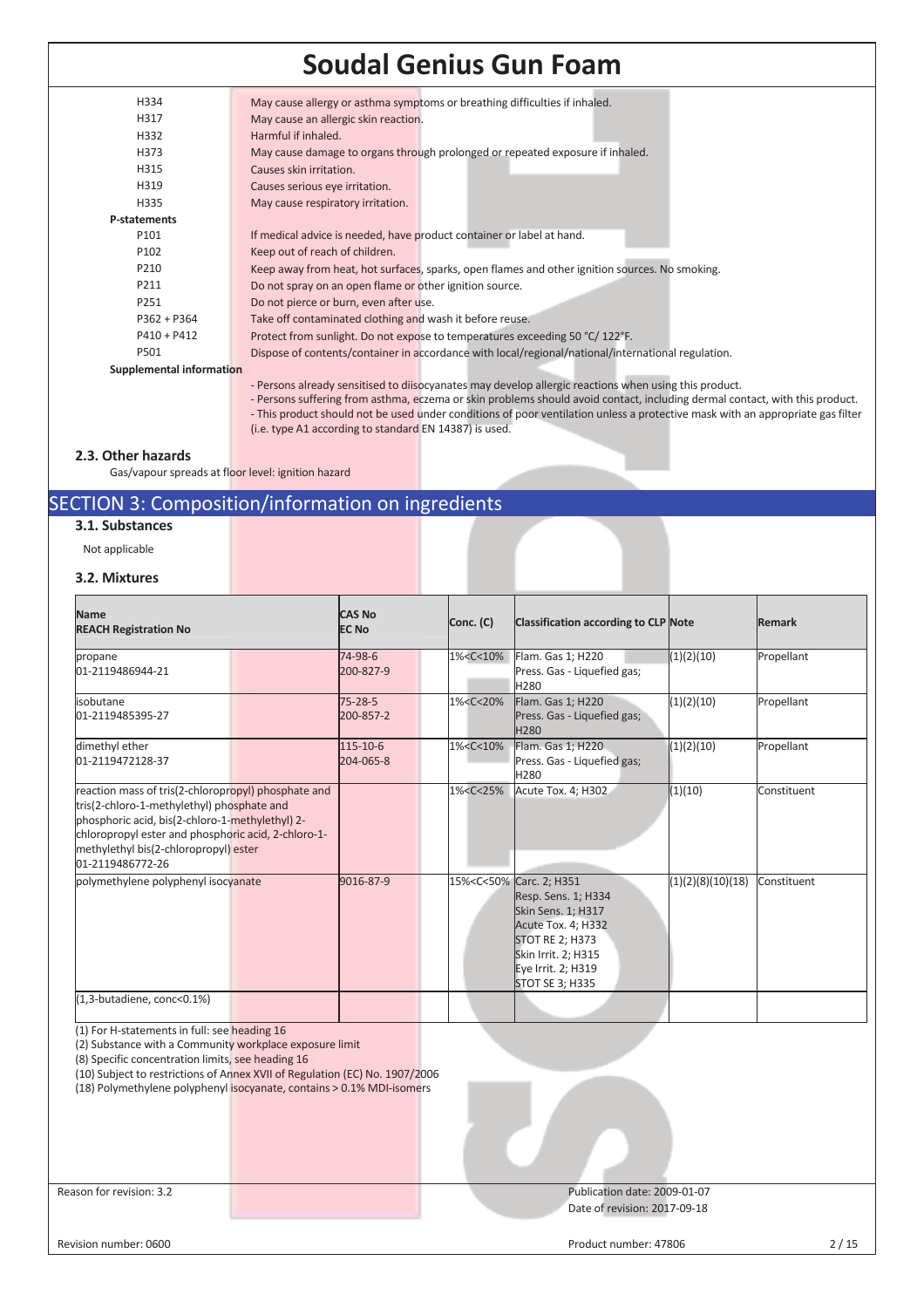| H334                     | May cause allergy or asthma symptoms or breathing difficulties if inhaled.                                      |
|--------------------------|-----------------------------------------------------------------------------------------------------------------|
| H317                     | May cause an allergic skin reaction.                                                                            |
| H332                     | Harmful if inhaled.                                                                                             |
| H373                     | May cause damage to organs through prolonged or repeated exposure if inhaled.                                   |
| H315                     | Causes skin irritation.                                                                                         |
| H319                     | Causes serious eye irritation.                                                                                  |
| H335                     | May cause respiratory irritation.                                                                               |
| P-statements             |                                                                                                                 |
| P101                     | If medical advice is needed, have product container or label at hand.                                           |
| P <sub>102</sub>         | Keep out of reach of children.                                                                                  |
| P210                     | Keep away from heat, hot surfaces, sparks, open flames and other ignition sources. No smoking.                  |
| P211                     | Do not spray on an open flame or other ignition source.                                                         |
| P251                     | Do not pierce or burn, even after use.                                                                          |
| $P362 + P364$            | Take off contaminated clothing and wash it before reuse.                                                        |
| $P410 + P412$            | Protect from sunlight. Do not expose to temperatures exceeding 50 °C/122°F.                                     |
| P501                     | Dispose of contents/container in accordance with local/regional/national/international regulation.              |
| Supplemental information |                                                                                                                 |
|                          | the contract of the contract of the contract of the contract of the contract of the contract of the contract of |

- Persons already sensitised to diisocyanates may develop allergic reactions when using this product.
- Persons suffering from asthma, eczema or skin problems should avoid contact, including dermal contact, with this product. - This product should not be used under conditions of poor ventilation unless a protective mask with an appropriate gas filter (i.e. type A1 according to standard EN 14387) is used.

### **2.3. Other hazards**

Gas/vapour spreads at floor level: ignition hazard

### SECTION 3: Composition/information on ingredients

### **3.1. Substances**

Not applicable

### **3.2. Mixtures**

| <b>Name</b><br><b>REACH Registration No</b>                                                                                                                                                                                                                              | <b>CAS No</b><br><b>EC No</b> |                       | Conc. (C) | <b>Classification according to CLP Note</b>                                                                                                    |                                                                                                                                                                                                                            | <b>Remark</b>     |             |
|--------------------------------------------------------------------------------------------------------------------------------------------------------------------------------------------------------------------------------------------------------------------------|-------------------------------|-----------------------|-----------|------------------------------------------------------------------------------------------------------------------------------------------------|----------------------------------------------------------------------------------------------------------------------------------------------------------------------------------------------------------------------------|-------------------|-------------|
| propane<br>01-2119486944-21                                                                                                                                                                                                                                              |                               | 74-98-6<br>200-827-9  |           | 1% <c<10%< th=""><th>Flam. Gas 1; H220<br/>Press. Gas - Liquefied gas;<br/>H<sub>280</sub></th><th>(1)(2)(10)</th><th>Propellant</th></c<10%<> | Flam. Gas 1; H220<br>Press. Gas - Liquefied gas;<br>H <sub>280</sub>                                                                                                                                                       | (1)(2)(10)        | Propellant  |
| isobutane<br>01-2119485395-27                                                                                                                                                                                                                                            |                               | 75-28-5<br>200-857-2  |           | 1% <c<20%< td=""><td>Flam. Gas 1; H220<br/>Press. Gas - Liquefied gas;<br/>H<sub>280</sub></td><td>(1)(2)(10)</td><td>Propellant</td></c<20%<> | Flam. Gas 1; H220<br>Press. Gas - Liquefied gas;<br>H <sub>280</sub>                                                                                                                                                       | (1)(2)(10)        | Propellant  |
| dimethyl ether<br>01-2119472128-37                                                                                                                                                                                                                                       |                               | 115-10-6<br>204-065-8 |           | 1% <c<10%< td=""><td>Flam. Gas 1; H220<br/>Press. Gas - Liquefied gas;<br/>H<sub>280</sub></td><td>(1)(2)(10)</td><td>Propellant</td></c<10%<> | Flam. Gas 1; H220<br>Press. Gas - Liquefied gas;<br>H <sub>280</sub>                                                                                                                                                       | (1)(2)(10)        | Propellant  |
| reaction mass of tris(2-chloropropyl) phosphate and<br>tris(2-chloro-1-methylethyl) phosphate and<br>phosphoric acid, bis(2-chloro-1-methylethyl) 2-<br>chloropropyl ester and phosphoric acid, 2-chloro-1-<br>methylethyl bis(2-chloropropyl) ester<br>01-2119486772-26 |                               |                       |           | 1% <c<25%< td=""><td>Acute Tox. 4; H302</td><td>(1)(10)</td><td>Constituent</td></c<25%<>                                                      | Acute Tox. 4; H302                                                                                                                                                                                                         | (1)(10)           | Constituent |
| polymethylene polyphenyl isocyanate                                                                                                                                                                                                                                      |                               | 9016-87-9             |           |                                                                                                                                                | 15% <c<50% 2;="" carc.="" h351<br="">Resp. Sens. 1; H334<br/><b>Skin Sens. 1; H317</b><br/>Acute Tox. 4; H332<br/><b>STOT RE 2; H373</b><br/>Skin Irrit. 2; H315<br/>Eye Irrit. 2; H319<br/><b>STOT SE 3; H335</b></c<50%> | (1)(2)(8)(10)(18) | Constituent |
| (1,3-butadiene, conc<0.1%)                                                                                                                                                                                                                                               |                               |                       |           |                                                                                                                                                |                                                                                                                                                                                                                            |                   |             |

(1) For H-statements in full: see heading 16

(2) Substance with a Community workplace exposure limit

(8) Specific concentration limits, see heading 16

(10) Subject to restrictions of Annex XVII of Regulation (EC) No. 1907/2006

(18) Polymethylene polyphenyl isocyanate, contains > 0.1% MDI-isomers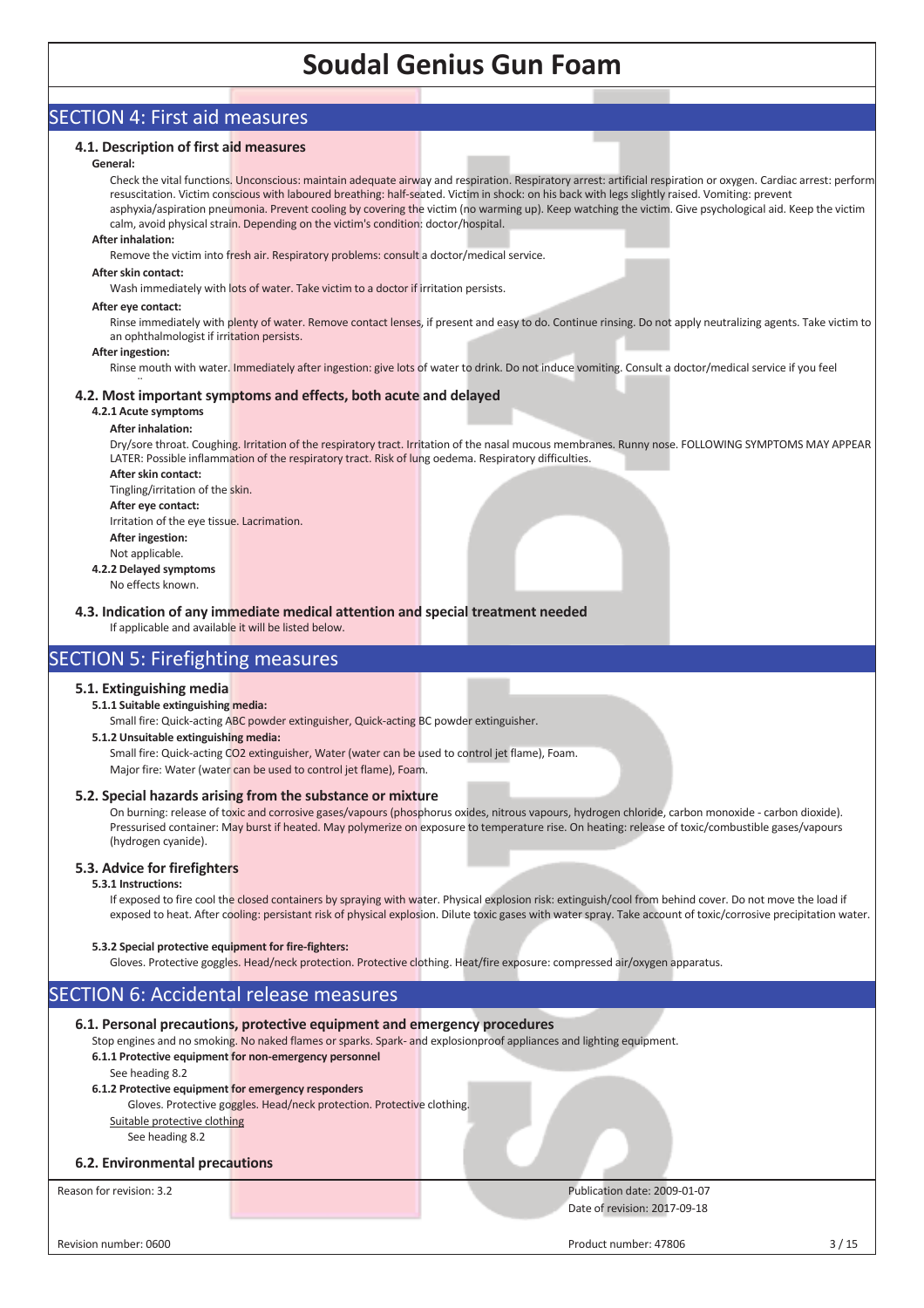### SECTION 4: First aid measures

### **4.1. Description of first aid measures**

### **General:**

Check the vital functions. Unconscious: maintain adequate airway and respiration. Respiratory arrest: artificial respiration or oxygen. Cardiac arrest: perform resuscitation. Victim conscious with laboured breathing: half-seated. Victim in shock: on his back with legs slightly raised. Vomiting: prevent asphyxia/aspiration pneumonia. Prevent cooling by covering the victim (no warming up). Keep watching the victim. Give psychological aid. Keep the victim calm, avoid physical strain. Depending on the victim's condition: doctor/hospital.

#### **After inhalation:**

Remove the victim into fresh air. Respiratory problems: consult a doctor/medical service.

#### **After skin contact:**

Wash immediately with lots of water. Take victim to a doctor if irritation persists.

#### **After eye contact:**

Rinse immediately with plenty of water. Remove contact lenses, if present and easy to do. Continue rinsing. Do not apply neutralizing agents. Take victim to an ophthalmologist if irritation persists.

#### **After ingestion:**

Rinse mouth with water. Immediately after ingestion: give lots of water to drink. Do not induce vomiting. Consult a doctor/medical service if you feel

#### $\ddot{\phantom{1}}$ **4.2. Most important symptoms and effects, both acute and delayed**

### **4.2.1 Acute symptoms**

### **After inhalation:**

Dry/sore throat. Coughing. Irritation of the respiratory tract. Irritation of the nasal mucous membranes. Runny nose. FOLLOWING SYMPTOMS MAY APPEAR LATER: Possible inflammation of the respiratory tract. Risk of lung oedema. Respiratory difficulties.

**After skin contact:**  Tingling/irritation of the skin. **After eye contact:** 

Irritation of the eye tissue. Lacrimation. **After ingestion:** 

- Not applicable.
- **4.2.2 Delayed symptoms**  No effects known.

**4.3. Indication of any immediate medical attention and special treatment needed**

If applicable and available it will be listed below.

### SECTION 5: Firefighting measures

### **5.1. Extinguishing media**

### **5.1.1 Suitable extinguishing media:**

Small fire: Quick-acting ABC powder extinguisher, Quick-acting BC powder extinguisher.

### **5.1.2 Unsuitable extinguishing media:**

Small fire: Quick-acting CO2 extinguisher, Water (water can be used to control jet flame), Foam. Major fire: Water (water can be used to control jet flame), Foam.

### **5.2. Special hazards arising from the substance or mixture**

On burning: release of toxic and corrosive gases/vapours (phosphorus oxides, nitrous vapours, hydrogen chloride, carbon monoxide - carbon dioxide). Pressurised container: May burst if heated. May polymerize on exposure to temperature rise. On heating: release of toxic/combustible gases/vapours (hydrogen cyanide).

### **5.3. Advice for firefighters**

### **5.3.1 Instructions:**

If exposed to fire cool the closed containers by spraying with water. Physical explosion risk: extinguish/cool from behind cover. Do not move the load if exposed to heat. After cooling: persistant risk of physical explosion. Dilute toxic gases with water spray. Take account of toxic/corrosive precipitation water.

### **5.3.2 Special protective equipment for fire-fighters:**

Gloves. Protective goggles. Head/neck protection. Protective clothing. Heat/fire exposure: compressed air/oxygen apparatus.

### SECTION 6: Accidental release measures

### **6.1. Personal precautions, protective equipment and emergency procedures** Stop engines and no smoking. No naked flames or sparks. Spark- and explosionproof appliances and lighting equipment. **6.1.1 Protective equipment for non-emergency personnel**  See heading 8.2 **6.1.2 Protective equipment for emergency responders** Gloves. Protective goggles. Head/neck protection. Protective clothing. Suitable protective clothing See heading 8.2 **6.2. Environmental precautions** Reason for revision: 3.2 **Publication date: 2009-01-07** Publication date: 2009-01-07 Date of revision: 2017-09-18

Revision number: 0600 3 / 15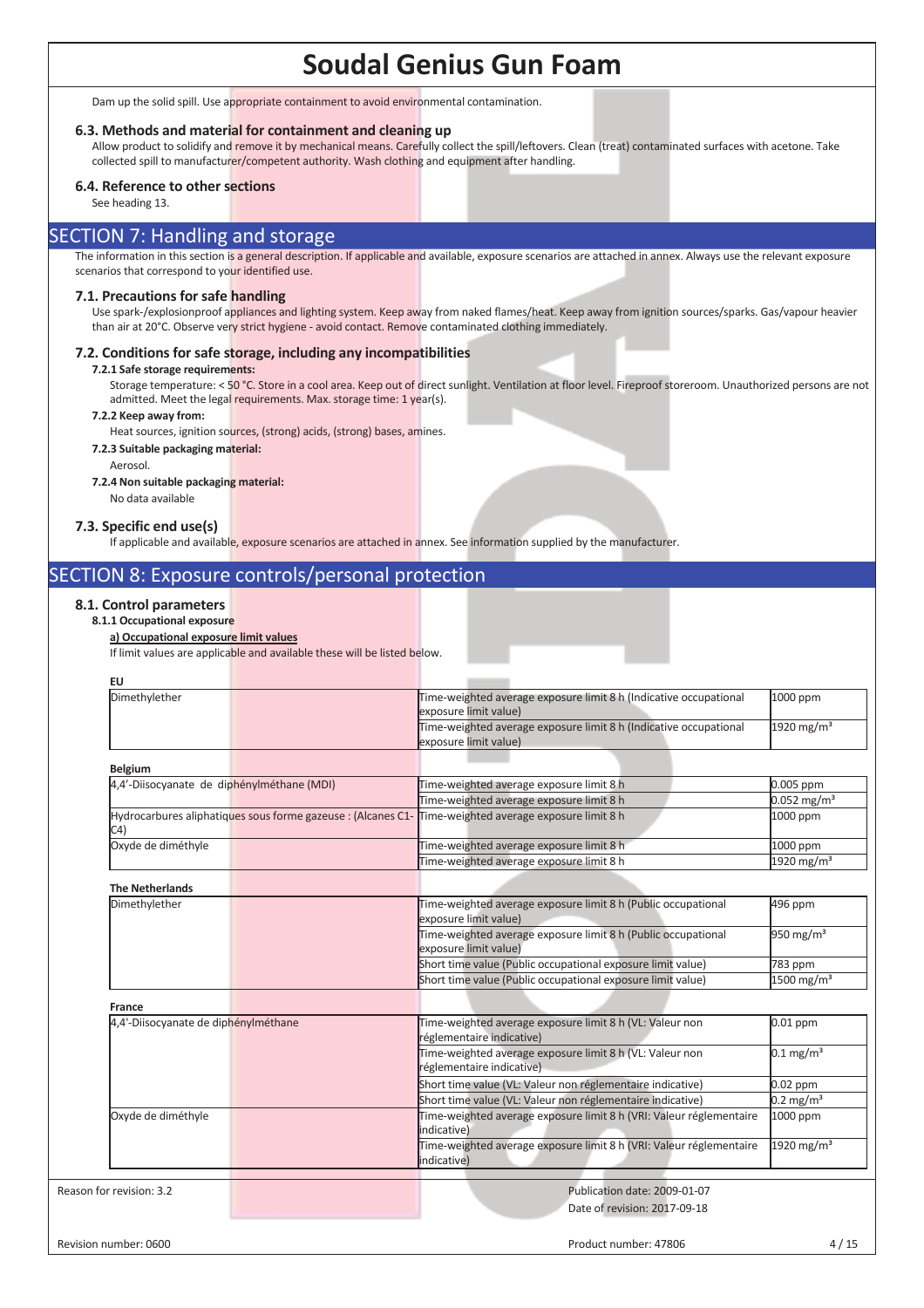Dam up the solid spill. Use appropriate containment to avoid environmental contamination.

### **6.3. Methods and material for containment and cleaning up**

Allow product to solidify and remove it by mechanical means. Carefully collect the spill/leftovers. Clean (treat) contaminated surfaces with acetone. Take collected spill to manufacturer/competent authority. Wash clothing and equipment after handling.

### **6.4. Reference to other sections**

See heading 13.

### SECTION 7: Handling and storage

The information in this section is a general description. If applicable and available, exposure scenarios are attached in annex. Always use the relevant exposure scenarios that correspond to your identified use.

### **7.1. Precautions for safe handling**

Use spark-/explosionproof appliances and lighting system. Keep away from naked flames/heat. Keep away from ignition sources/sparks. Gas/vapour heavier than air at 20°C. Observe very strict hygiene - avoid contact. Remove contaminated clothing immediately.

### **7.2. Conditions for safe storage, including any incompatibilities**

**7.2.1 Safe storage requirements:** 

Storage temperature: < 50 °C. Store in a cool area. Keep out of direct sunlight. Ventilation at floor level. Fireproof storeroom. Unauthorized persons are not admitted. Meet the legal requirements. Max. storage time: 1 year(s).

#### **7.2.2 Keep away from:**

Heat sources, ignition sources, (strong) acids, (strong) bases, amines.

### **7.2.3 Suitable packaging material:**

Aerosol.

### **7.2.4 Non suitable packaging material:**

No data available

### **7.3. Specific end use(s)**

If applicable and available, exposure scenarios are attached in annex. See information supplied by the manufacturer.

### SECTION 8: Exposure controls/personal protection

### **8.1. Control parameters**

### **8.1.1 Occupational exposure**

### **a) Occupational exposure limit values**

If limit values are applicable and available these will be listed below.

| <b>EU</b>                                  |                                                              |                                                                                            |                                    |
|--------------------------------------------|--------------------------------------------------------------|--------------------------------------------------------------------------------------------|------------------------------------|
| Dimethylether                              |                                                              | Time-weighted average exposure limit 8 h (Indicative occupational<br>exposure limit value) | 1000 ppm                           |
|                                            |                                                              | Time-weighted average exposure limit 8 h (Indicative occupational<br>exposure limit value) | $\frac{1920 \text{ mg}}{\text{m}}$ |
| <b>Belgium</b>                             |                                                              |                                                                                            |                                    |
| 4,4'-Diisocyanate de diphénylméthane (MDI) |                                                              | Time-weighted average exposure limit 8 h                                                   | 0.005 ppm                          |
|                                            |                                                              | Time-weighted average exposure limit 8 h                                                   | $0.052$ mg/m <sup>3</sup>          |
| C <sub>4</sub>                             | Hydrocarbures aliphatiques sous forme gazeuse : (Alcanes C1- | Time-weighted average exposure limit 8 h                                                   | 1000 ppm                           |
| Oxyde de diméthyle                         |                                                              | Time-weighted average exposure limit 8 h                                                   | 1000 ppm                           |
|                                            |                                                              | Time-weighted average exposure limit 8 h                                                   | 1920 mg/m <sup>3</sup>             |
| <b>The Netherlands</b>                     |                                                              |                                                                                            |                                    |
| Dimethylether                              |                                                              | Time-weighted average exposure limit 8 h (Public occupational<br>exposure limit value)     | 496 ppm                            |
|                                            |                                                              | Time-weighted average exposure limit 8 h (Public occupational<br>exposure limit value)     | 950 mg/m $3$                       |
|                                            |                                                              | Short time value (Public occupational exposure limit value)                                | 783 ppm                            |
|                                            |                                                              | Short time value (Public occupational exposure limit value)                                | $1500$ mg/m <sup>3</sup>           |
| France                                     |                                                              |                                                                                            |                                    |
| 4,4'-Diisocyanate de diphénylméthane       |                                                              | Time-weighted average exposure limit 8 h (VL: Valeur non<br>réglementaire indicative)      | $0.01$ ppm                         |
|                                            |                                                              | Time-weighted average exposure limit 8 h (VL: Valeur non<br>réglementaire indicative)      | $0.1 \text{ mg/m}^3$               |
|                                            |                                                              | Short time value (VL: Valeur non réglementaire indicative)                                 | $0.02$ ppm                         |
|                                            |                                                              | Short time value (VL: Valeur non réglementaire indicative)                                 | $0.2 \,\mathrm{mg/m^3}$            |
| Oxyde de diméthyle                         |                                                              | Time-weighted average exposure limit 8 h (VRI: Valeur réglementaire<br>lindicative)        | 1000 ppm                           |
|                                            |                                                              | Time-weighted average exposure limit 8 h (VRI: Valeur réglementaire<br>indicative)         | 1920 mg/m <sup>3</sup>             |
|                                            |                                                              |                                                                                            |                                    |
| Reason for revision: 3.2                   |                                                              | Publication date: 2009-01-07                                                               |                                    |
|                                            |                                                              | Date of revision: 2017-09-18                                                               |                                    |
| Revision number: 0600                      |                                                              | Product number: 47806                                                                      | 4/15                               |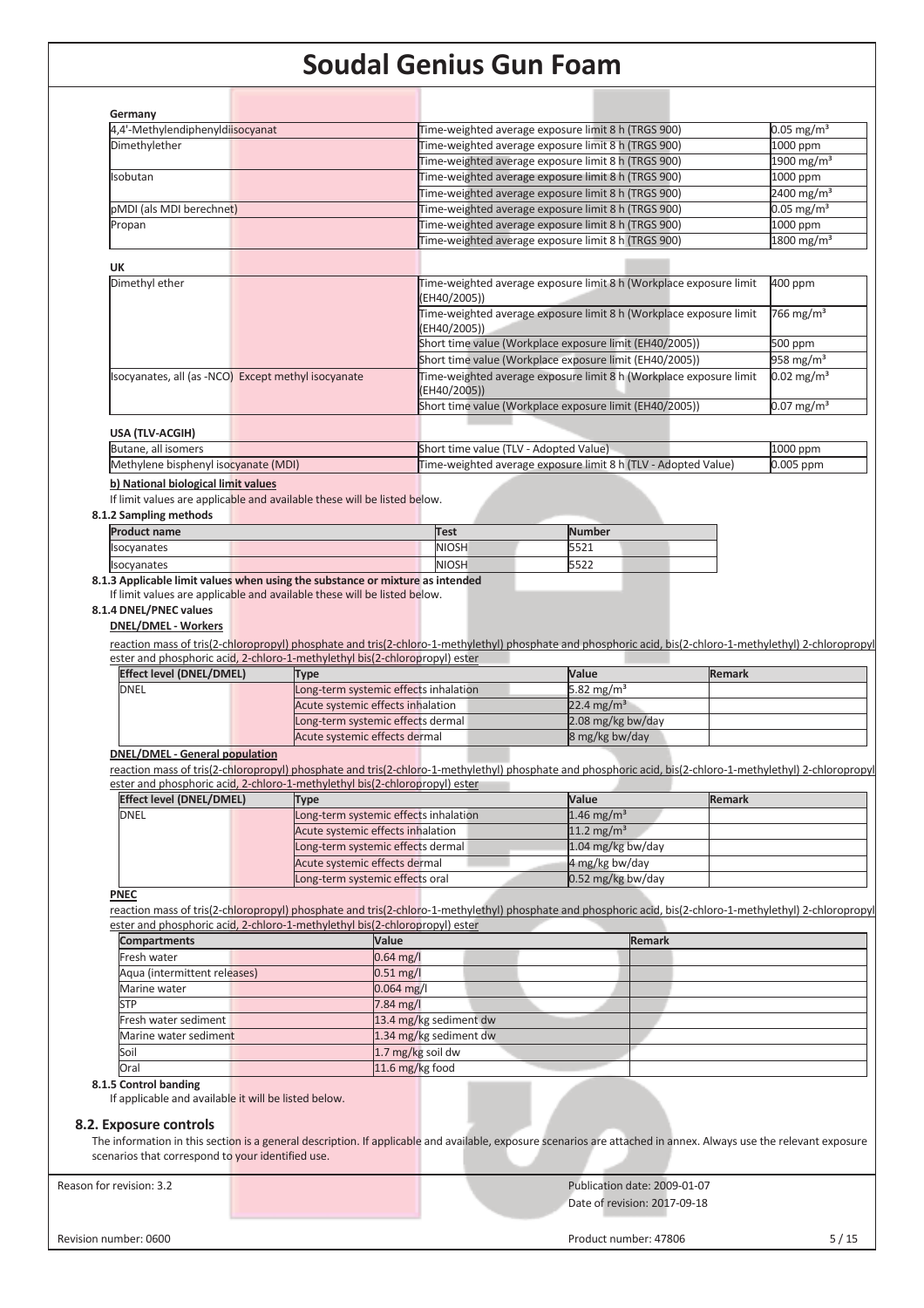| Germany                                                                                                                                                                                                                          |                                       |                   |                                        |                                                                                                                                                            |               |                                                      |
|----------------------------------------------------------------------------------------------------------------------------------------------------------------------------------------------------------------------------------|---------------------------------------|-------------------|----------------------------------------|------------------------------------------------------------------------------------------------------------------------------------------------------------|---------------|------------------------------------------------------|
| 4,4'-Methylendiphenyldisocyanat                                                                                                                                                                                                  |                                       |                   |                                        | Time-weighted average exposure limit 8 h (TRGS 900)                                                                                                        |               | $0.05 \,\mathrm{mg/m^3}$                             |
| Dimethylether                                                                                                                                                                                                                    |                                       |                   |                                        | Time-weighted average exposure limit 8 h (TRGS 900)                                                                                                        |               | 1000 ppm                                             |
|                                                                                                                                                                                                                                  |                                       |                   |                                        | Time-weighted average exposure limit 8 h (TRGS 900)                                                                                                        |               | 1900 mg/m <sup>3</sup>                               |
| Isobutan                                                                                                                                                                                                                         |                                       |                   |                                        | Time-weighted average exposure limit 8 h (TRGS 900)                                                                                                        |               | 1000 ppm                                             |
|                                                                                                                                                                                                                                  |                                       |                   |                                        | Time-weighted average exposure limit 8 h (TRGS 900)                                                                                                        |               | 2400 mg/m <sup>3</sup>                               |
| pMDI (als MDI berechnet)                                                                                                                                                                                                         |                                       |                   |                                        | Time-weighted average exposure limit 8 h (TRGS 900)                                                                                                        |               | $0.05$ mg/m <sup>3</sup>                             |
| Propan                                                                                                                                                                                                                           |                                       |                   |                                        | Time-weighted average exposure limit 8 h (TRGS 900)                                                                                                        |               | 1000 ppm                                             |
|                                                                                                                                                                                                                                  |                                       |                   |                                        | Time-weighted average exposure limit 8 h (TRGS 900)                                                                                                        |               | $1800 \,\mathrm{mg/m^3}$                             |
| <b>UK</b>                                                                                                                                                                                                                        |                                       |                   |                                        |                                                                                                                                                            |               |                                                      |
| Dimethyl ether                                                                                                                                                                                                                   |                                       |                   | (EH40/2005))                           | Time-weighted average exposure limit 8 h (Workplace exposure limit<br>Time-weighted average exposure limit 8 h (Workplace exposure limit                   |               | 400 ppm<br>766 mg/m <sup>3</sup>                     |
|                                                                                                                                                                                                                                  |                                       |                   | (EH40/2005))                           |                                                                                                                                                            |               |                                                      |
|                                                                                                                                                                                                                                  |                                       |                   |                                        | Short time value (Workplace exposure limit (EH40/2005))                                                                                                    |               | 500 ppm                                              |
|                                                                                                                                                                                                                                  |                                       |                   |                                        | Short time value (Workplace exposure limit (EH40/2005))                                                                                                    |               | 958 mg/m <sup>3</sup>                                |
| Isocyanates, all (as -NCO) Except methyl isocyanate                                                                                                                                                                              |                                       |                   | (EH40/2005))                           | Time-weighted average exposure limit 8 h (Workplace exposure limit<br>Short time value (Workplace exposure limit (EH40/2005))                              |               | $0.02$ mg/m <sup>3</sup><br>$0.07 \,\mathrm{mg/m^3}$ |
|                                                                                                                                                                                                                                  |                                       |                   |                                        |                                                                                                                                                            |               |                                                      |
| USA (TLV-ACGIH)                                                                                                                                                                                                                  |                                       |                   |                                        |                                                                                                                                                            |               |                                                      |
| Butane, all isomers                                                                                                                                                                                                              |                                       |                   | Short time value (TLV - Adopted Value) |                                                                                                                                                            |               | 1000 ppm                                             |
| Methylene bisphenyl isocyanate (MDI)                                                                                                                                                                                             |                                       |                   |                                        | Time-weighted average exposure limit 8 h (TLV - Adopted Value)                                                                                             |               | 0.005 ppm                                            |
| b) National biological limit values                                                                                                                                                                                              |                                       |                   |                                        |                                                                                                                                                            |               |                                                      |
| If limit values are applicable and available these will be listed below.                                                                                                                                                         |                                       |                   |                                        |                                                                                                                                                            |               |                                                      |
| 8.1.2 Sampling methods                                                                                                                                                                                                           |                                       |                   |                                        |                                                                                                                                                            |               |                                                      |
| <b>Product name</b>                                                                                                                                                                                                              |                                       |                   | <b>Test</b>                            | <b>Number</b>                                                                                                                                              |               |                                                      |
| Isocyanates                                                                                                                                                                                                                      |                                       |                   | <b>NIOSH</b>                           | 5521                                                                                                                                                       |               |                                                      |
|                                                                                                                                                                                                                                  |                                       |                   | <b>NIOSH</b>                           | 5522                                                                                                                                                       |               |                                                      |
|                                                                                                                                                                                                                                  |                                       |                   |                                        |                                                                                                                                                            |               |                                                      |
| Isocyanates<br>8.1.3 Applicable limit values when using the substance or mixture as intended<br>If limit values are applicable and available these will be listed below.<br>8.1.4 DNEL/PNEC values<br><b>DNEL/DMEL - Workers</b> |                                       |                   |                                        | reaction mass of tris(2-chloropropyl) phosphate and tris(2-chloro-1-methylethyl) phosphate and phosphoric acid, bis(2-chloro-1-methylethyl) 2-chloropropyl |               |                                                      |
| ester and phosphoric acid, 2-chloro-1-methylethyl bis(2-chloropropyl) ester                                                                                                                                                      |                                       |                   |                                        |                                                                                                                                                            |               |                                                      |
| <b>Effect level (DNEL/DMEL)</b>                                                                                                                                                                                                  | <b>Type</b>                           |                   |                                        | Value                                                                                                                                                      | <b>Remark</b> |                                                      |
| <b>DNEL</b>                                                                                                                                                                                                                      | Long-term systemic effects inhalation |                   |                                        | 5.82 $mg/m3$                                                                                                                                               |               |                                                      |
|                                                                                                                                                                                                                                  | Acute systemic effects inhalation     |                   |                                        | 22.4 mg/m <sup>3</sup>                                                                                                                                     |               |                                                      |
|                                                                                                                                                                                                                                  | Long-term systemic effects dermal     |                   |                                        | 2.08 mg/kg bw/day                                                                                                                                          |               |                                                      |
|                                                                                                                                                                                                                                  | Acute systemic effects dermal         |                   |                                        | 8 mg/kg bw/day                                                                                                                                             |               |                                                      |
| <b>DNEL/DMEL - General population</b>                                                                                                                                                                                            |                                       |                   |                                        |                                                                                                                                                            |               |                                                      |
|                                                                                                                                                                                                                                  |                                       |                   |                                        | reaction mass of tris(2-chloropropyl) phosphate and tris(2-chloro-1-methylethyl) phosphate and phosphoric acid, bis(2-chloro-1-methylethyl) 2-chloropropyl |               |                                                      |
| ester and phosphoric acid, 2-chloro-1-methylethyl bis(2-chloropropyl) ester                                                                                                                                                      |                                       |                   |                                        |                                                                                                                                                            |               |                                                      |
| <b>Effect level (DNEL/DMEL)</b>                                                                                                                                                                                                  | <b>Type</b>                           |                   |                                        | Value                                                                                                                                                      | <b>Remark</b> |                                                      |
| <b>DNEL</b>                                                                                                                                                                                                                      | Long-term systemic effects inhalation |                   |                                        | $1.46$ mg/m <sup>3</sup>                                                                                                                                   |               |                                                      |
|                                                                                                                                                                                                                                  | Acute systemic effects inhalation     |                   |                                        | 11.2 mg/m <sup>3</sup>                                                                                                                                     |               |                                                      |
|                                                                                                                                                                                                                                  | Long-term systemic effects dermal     |                   |                                        | 1.04 mg/kg bw/day                                                                                                                                          |               |                                                      |
|                                                                                                                                                                                                                                  | Acute systemic effects dermal         |                   |                                        | 4 mg/kg bw/day                                                                                                                                             |               |                                                      |
|                                                                                                                                                                                                                                  | Long-term systemic effects oral       |                   |                                        | 0.52 mg/kg bw/day                                                                                                                                          |               |                                                      |
| <b>PNEC</b>                                                                                                                                                                                                                      |                                       |                   |                                        |                                                                                                                                                            |               |                                                      |
|                                                                                                                                                                                                                                  |                                       |                   |                                        | reaction mass of tris(2-chloropropyl) phosphate and tris(2-chloro-1-methylethyl) phosphate and phosphoric acid, bis(2-chloro-1-methylethyl) 2-chloropropyl |               |                                                      |
| ester and phosphoric acid, 2-chloro-1-methylethyl bis(2-chloropropyl) ester                                                                                                                                                      |                                       |                   |                                        |                                                                                                                                                            |               |                                                      |
| <b>Compartments</b>                                                                                                                                                                                                              |                                       | Value             |                                        | <b>Remark</b>                                                                                                                                              |               |                                                      |
| Fresh water                                                                                                                                                                                                                      |                                       | $0.64$ mg/l       |                                        |                                                                                                                                                            |               |                                                      |
| Aqua (intermittent releases)                                                                                                                                                                                                     |                                       | $0.51$ mg/l       |                                        |                                                                                                                                                            |               |                                                      |
| Marine water                                                                                                                                                                                                                     |                                       | $0.064$ mg/l      |                                        |                                                                                                                                                            |               |                                                      |
| <b>STP</b>                                                                                                                                                                                                                       |                                       | 7.84 mg/l         |                                        |                                                                                                                                                            |               |                                                      |
| Fresh water sediment                                                                                                                                                                                                             |                                       |                   | 13.4 mg/kg sediment dw                 |                                                                                                                                                            |               |                                                      |
| Marine water sediment                                                                                                                                                                                                            |                                       |                   | 1.34 mg/kg sediment dw                 |                                                                                                                                                            |               |                                                      |
| Soil                                                                                                                                                                                                                             |                                       | 1.7 mg/kg soil dw |                                        |                                                                                                                                                            |               |                                                      |
| Oral                                                                                                                                                                                                                             |                                       |                   |                                        |                                                                                                                                                            |               |                                                      |
|                                                                                                                                                                                                                                  |                                       | 11.6 mg/kg food   |                                        |                                                                                                                                                            |               |                                                      |
| 8.1.5 Control banding<br>If applicable and available it will be listed below.                                                                                                                                                    |                                       |                   |                                        |                                                                                                                                                            |               |                                                      |
| 8.2. Exposure controls                                                                                                                                                                                                           |                                       |                   |                                        |                                                                                                                                                            |               |                                                      |

Reason for revision: 3.2 Publication date: 2009-01-07

Date of revision: 2017-09-18

Revision number: 0600 5/15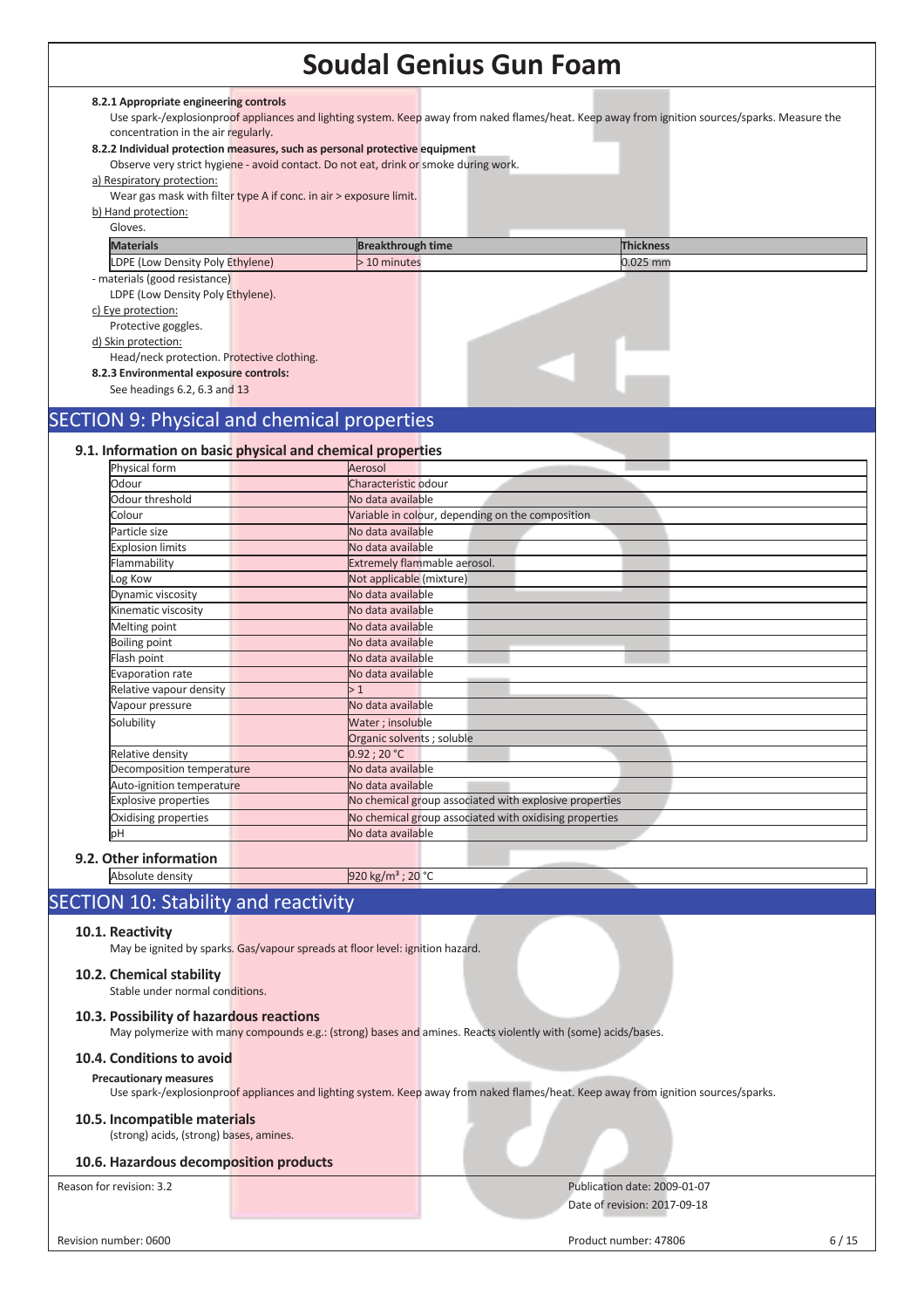### **8.2.1 Appropriate engineering controls**

Use spark-/explosionproof appliances and lighting system. Keep away from naked flames/heat. Keep away from ignition sources/sparks. Measure the concentration in the air regularly.

### **8.2.2 Individual protection measures, such as personal protective equipment**

| 8.2.2 individual protection measures, such as personal protective equipment |                                                                                      |                          |  |                  |  |
|-----------------------------------------------------------------------------|--------------------------------------------------------------------------------------|--------------------------|--|------------------|--|
|                                                                             | Observe very strict hygiene - avoid contact. Do not eat, drink or smoke during work. |                          |  |                  |  |
| a) Respiratory protection:                                                  |                                                                                      |                          |  |                  |  |
|                                                                             | Wear gas mask with filter type A if conc. in air > exposure limit.                   |                          |  |                  |  |
| b) Hand protection:                                                         |                                                                                      |                          |  |                  |  |
| Gloves.                                                                     |                                                                                      |                          |  |                  |  |
| <b>Materials</b>                                                            |                                                                                      | <b>Breakthrough time</b> |  | <b>Thickness</b> |  |
| LDPE (Low Density Poly Ethylene)                                            |                                                                                      | > 10 minutes             |  | $0.025$ mm       |  |
| - materials (good resistance)                                               |                                                                                      |                          |  |                  |  |
| LDPE (Low Density Poly Ethylene).                                           |                                                                                      |                          |  |                  |  |
| c) Eye protection:                                                          |                                                                                      |                          |  |                  |  |
| Protective goggles.                                                         |                                                                                      |                          |  |                  |  |
| d) Skin protection:                                                         |                                                                                      |                          |  |                  |  |
| Head/neck protection. Protective clothing.                                  |                                                                                      |                          |  |                  |  |
| 8.2.3 Environmental exposure controls:                                      |                                                                                      |                          |  |                  |  |
| See headings 6.2, 6.3 and 13                                                |                                                                                      |                          |  |                  |  |
|                                                                             |                                                                                      |                          |  |                  |  |

# SECTION 9: Physical and chemical properties

| Physical form               | Aerosol                                                |
|-----------------------------|--------------------------------------------------------|
| Odour                       | Characteristic odour                                   |
| Odour threshold             | No data available                                      |
| Colour                      | Variable in colour, depending on the composition       |
| Particle size               | No data available                                      |
| <b>Explosion limits</b>     | No data available                                      |
| Flammability                | Extremely flammable aerosol.                           |
| og Kow                      | Not applicable (mixture)                               |
| Dynamic viscosity           | No data available                                      |
| Kinematic viscosity         | No data available                                      |
| Melting point               | No data available                                      |
| <b>Boiling point</b>        | No data available                                      |
| Flash point                 | No data available                                      |
| <b>Evaporation rate</b>     | No data available                                      |
| Relative vapour density     | >1                                                     |
| Vapour pressure             | No data available                                      |
| Solubility                  | Water; insoluble                                       |
|                             | Organic solvents ; soluble                             |
| Relative density            | 0.92:20 °C                                             |
| Decomposition temperature   | No data available                                      |
| Auto-ignition temperature   | No data available                                      |
| <b>Explosive properties</b> | No chemical group associated with explosive properties |
| Oxidising properties        | No chemical group associated with oxidising properties |
| bН                          | No data available                                      |

Absolute density 920 kg/m<sup>3</sup> ; 20 °C

### SECTION 10: Stability and reactivity

### **10.1. Reactivity**

May be ignited by sparks. Gas/vapour spreads at floor level: ignition hazard.

### **10.2. Chemical stability**

Stable under normal conditions.

### **10.3. Possibility of hazardous reactions**

May polymerize with many compounds e.g.: (strong) bases and amines. Reacts violently with (some) acids/bases.

### **10.4. Conditions to avoid**

**Precautionary measures** 

Use spark-/explosionproof appliances and lighting system. Keep away from naked flames/heat. Keep away from ignition sources/sparks.

### **10.5. Incompatible materials**

(strong) acids, (strong) bases, amines.

### **10.6. Hazardous decomposition products**

Reason for revision: 3.2 **Publication date: 2009-01-07** Publication date: 2009-01-07 Date of revision: 2017-09-18

Revision number: 0600 6/15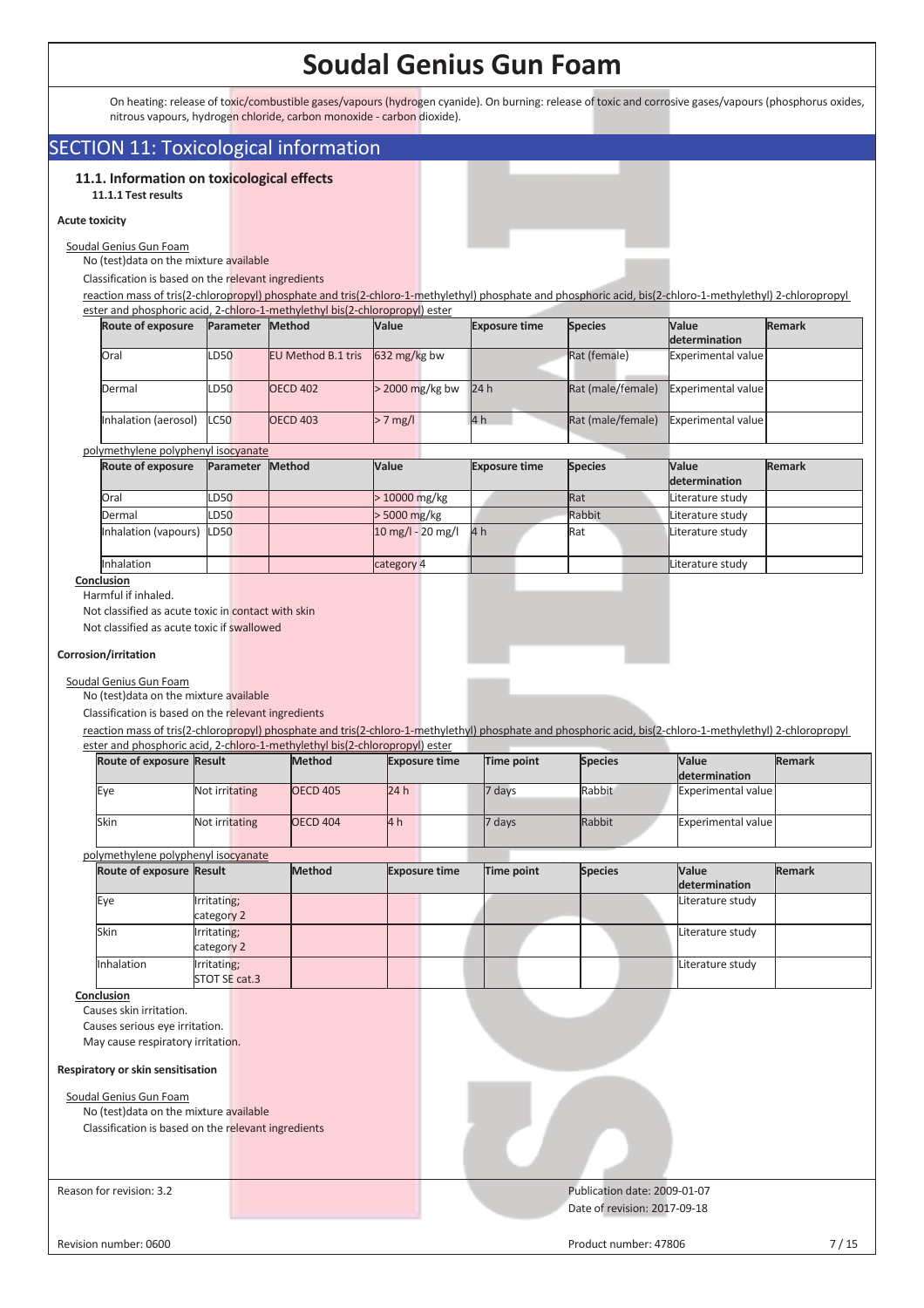On heating: release of toxic/combustible gases/vapours (hydrogen cyanide). On burning: release of toxic and corrosive gases/vapours (phosphorus oxides, nitrous vapours, hydrogen chloride, carbon monoxide - carbon dioxide).

### SECTION 11: Toxicological information

### **11.1. Information on toxicological effects 11.1.1 Test results**

#### **Acute toxicity**

Soudal Genius Gun Foam

No (test)data on the mixture available

Classification is based on the relevant ingredients

reaction mass of tris(2-chloropropyl) phosphate and tris(2-chloro-1-methylethyl) phosphate and phosphoric acid, bis(2-chloro-1-methylethyl) 2-chloropropyl ester and phosphoric acid, 2-chloro-1-methylethyl bis(2-chloropropyl) ester

| <b>Route of exposure</b> |             | Parameter | <b>Method</b>             | <b>Value</b>           | <b>Exposure time</b> | <b>Species</b>    | <b>Value</b>              | <b>Remark</b> |
|--------------------------|-------------|-----------|---------------------------|------------------------|----------------------|-------------------|---------------------------|---------------|
|                          |             |           |                           |                        |                      |                   | <b>determination</b>      |               |
| Oral                     | <b>LD50</b> |           | <b>EU Method B.1 tris</b> | $632 \text{ mg/kg}$ bw |                      | Rat (female)      | Experimental value        |               |
| Dermal                   | <b>LD50</b> |           | <b>OECD 402</b>           | $>$ 2000 mg/kg bw      | 24h                  | Rat (male/female) | <b>Experimental value</b> |               |
| Inhalation (aerosol)     | LC50        |           | <b>OECD 403</b>           | $> 7$ mg/l             | 4h                   | Rat (male/female) | Experimental value        |               |

polymethylene polyphenyl isocyanate

| <b>Route of exposure</b> | Parameter Method | <b>Value</b>                        | <b>Exposure time</b> | <b>Species</b> | <b>Value</b><br>determination | <b>Remark</b> |
|--------------------------|------------------|-------------------------------------|----------------------|----------------|-------------------------------|---------------|
| Oral                     | LD50             | $>10000$ mg/kg                      |                      | <b>Rat</b>     | Literature study              |               |
| Dermal                   | <b>LD50</b>      | > 5000 mg/kg                        |                      | Rabbit         | Literature study              |               |
| Inhalation (vapours)     | <b>LD50</b>      | $10 \text{ mg/l} - 20 \text{ mg/l}$ | 4 h                  | Rat            | Literature study              |               |
| Inhalation               |                  | category 4                          |                      |                | Literature study              |               |

**Conclusion** 

Harmful if inhaled.

Not classified as acute toxic in contact with skin

Not classified as acute toxic if swallowed

### **Corrosion/irritation**

Soudal Genius Gun Foam

No (test)data on the mixture available

Classification is based on the relevant ingredients

reaction mass of tris(2-chloropropyl) phosphate and tris(2-chloro-1-methylethyl) phosphate and phosphoric acid, bis(2-chloro-1-methylethyl) 2-chloropropyl ester and phosphoric acid, 2-chloro-1-methylethyl bis(2-chloropropyl) ester

|                                   | Route of exposure Result                                  |                                                     | Method          | <b>Exposure time</b> | Time point        | <b>Species</b>               | Value<br>determination    | <b>Remark</b> |
|-----------------------------------|-----------------------------------------------------------|-----------------------------------------------------|-----------------|----------------------|-------------------|------------------------------|---------------------------|---------------|
| Eye                               |                                                           | Not irritating                                      | <b>OECD 405</b> | 24h                  | 7 days            | Rabbit                       | <b>Experimental value</b> |               |
| Skin                              |                                                           | Not irritating                                      | <b>OECD 404</b> | 4h                   | 7 days            | Rabbit                       | <b>Experimental value</b> |               |
|                                   |                                                           | polymethylene polyphenyl isocyanate                 |                 |                      |                   |                              |                           |               |
|                                   | Route of exposure Result                                  |                                                     | Method          | <b>Exposure time</b> | <b>Time point</b> | <b>Species</b>               | Value<br>determination    | <b>Remark</b> |
| Eye                               |                                                           | Irritating;<br>category 2                           |                 |                      |                   |                              | Literature study          |               |
| Skin                              |                                                           | Irritating;<br>category 2                           |                 |                      |                   |                              | Literature study          |               |
| Inhalation                        |                                                           | <b>Irritating</b> ;<br>STOT SE cat.3                |                 |                      |                   |                              | Literature study          |               |
| Conclusion                        | Causes skin irritation.<br>Causes serious eye irritation. |                                                     |                 |                      |                   |                              |                           |               |
|                                   | May cause respiratory irritation.                         |                                                     |                 |                      |                   |                              |                           |               |
| Respiratory or skin sensitisation |                                                           |                                                     |                 |                      |                   |                              |                           |               |
|                                   | Soudal Genius Gun Foam                                    | No (test) data on the mixture available             |                 |                      |                   |                              |                           |               |
|                                   |                                                           | Classification is based on the relevant ingredients |                 |                      |                   |                              |                           |               |
|                                   |                                                           |                                                     |                 |                      |                   |                              |                           |               |
| Reason for revision: 3.2          |                                                           |                                                     |                 |                      |                   | Publication date: 2009-01-07 |                           |               |
|                                   |                                                           |                                                     |                 |                      |                   | Date of revision: 2017-09-18 |                           |               |
| Revision number: 0600             |                                                           |                                                     |                 |                      |                   | Product number: 47806        |                           | $7/15$        |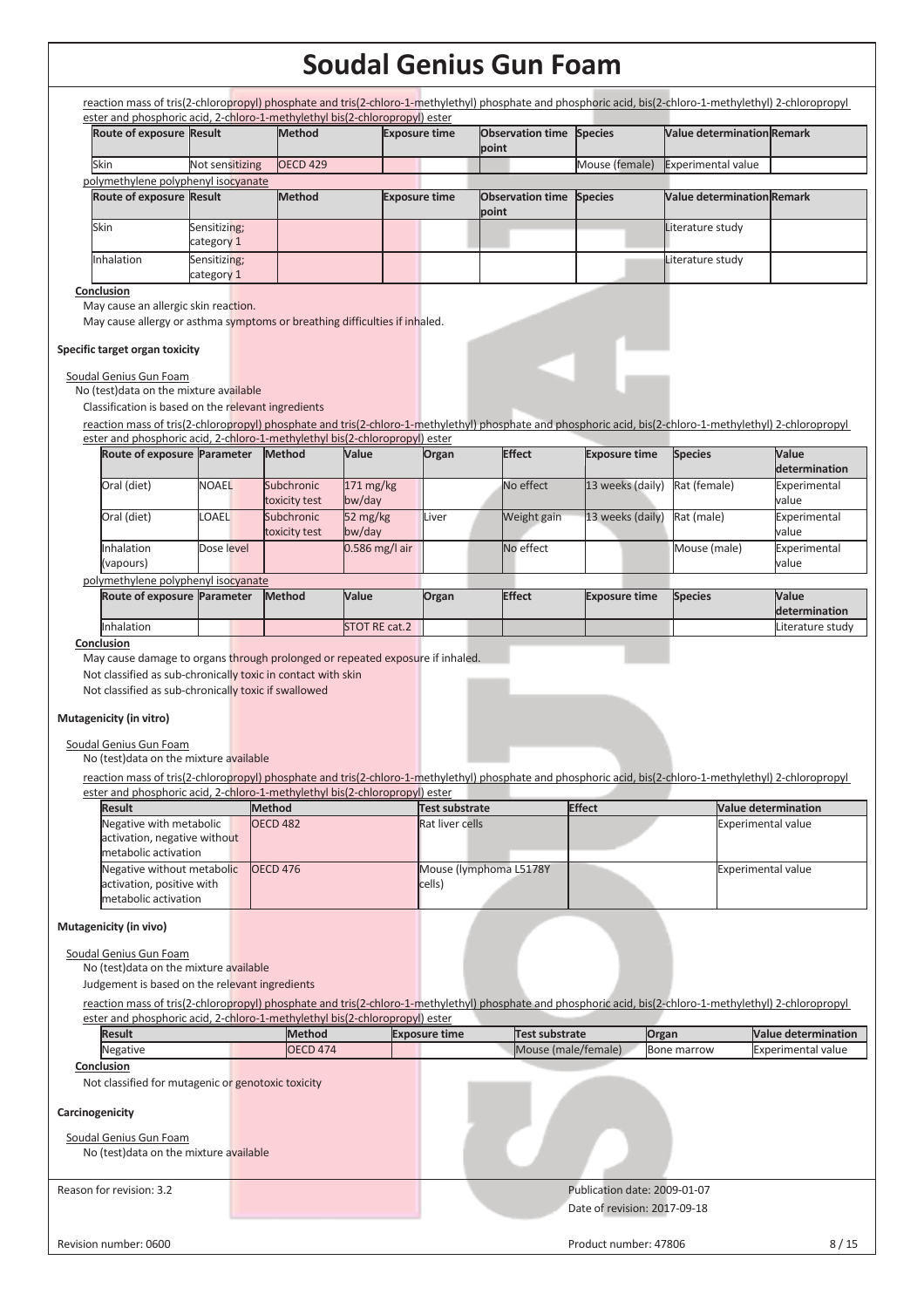|                                                                                                                                                                                                                                                                                  | Route of exposure Result   | <b>Method</b>                                |                              | <b>Exposure time</b>  | <b>Observation time</b>                                                                                                                                    | <b>Species</b>               | <b>Value determination Remark</b> |                                |
|----------------------------------------------------------------------------------------------------------------------------------------------------------------------------------------------------------------------------------------------------------------------------------|----------------------------|----------------------------------------------|------------------------------|-----------------------|------------------------------------------------------------------------------------------------------------------------------------------------------------|------------------------------|-----------------------------------|--------------------------------|
|                                                                                                                                                                                                                                                                                  |                            |                                              |                              |                       | point                                                                                                                                                      |                              |                                   |                                |
| Skin<br>polymethylene polyphenyl isocyanate                                                                                                                                                                                                                                      | Not sensitizing            | <b>OECD 429</b>                              |                              |                       |                                                                                                                                                            | Mouse (female)               | <b>Experimental value</b>         |                                |
| Route of exposure Result                                                                                                                                                                                                                                                         |                            | Method                                       |                              | <b>Exposure time</b>  | <b>Observation time</b>                                                                                                                                    | <b>Species</b>               | <b>Value determination Remark</b> |                                |
|                                                                                                                                                                                                                                                                                  |                            |                                              |                              |                       | point                                                                                                                                                      |                              |                                   |                                |
| Skin                                                                                                                                                                                                                                                                             | Sensitizing;<br>category 1 |                                              |                              |                       |                                                                                                                                                            |                              | Literature study                  |                                |
| Inhalation                                                                                                                                                                                                                                                                       | Sensitizing;<br>category 1 |                                              |                              |                       |                                                                                                                                                            |                              | Literature study                  |                                |
| May cause an allergic skin reaction.<br>May cause allergy or asthma symptoms or breathing difficulties if inhaled.<br>Specific target organ toxicity<br>Soudal Genius Gun Foam<br>No (test) data on the mixture available<br>Classification is based on the relevant ingredients |                            |                                              |                              |                       |                                                                                                                                                            |                              |                                   |                                |
|                                                                                                                                                                                                                                                                                  |                            |                                              |                              |                       | reaction mass of tris(2-chloropropyl) phosphate and tris(2-chloro-1-methylethyl) phosphate and phosphoric acid, bis(2-chloro-1-methylethyl) 2-chloropropyl |                              |                                   |                                |
| ester and phosphoric acid, 2-chloro-1-methylethyl bis(2-chloropropyl) ester<br>Route of exposure Parameter                                                                                                                                                                       |                            | Method                                       | Value                        | Organ                 | <b>Effect</b>                                                                                                                                              | <b>Exposure time</b>         | <b>Species</b>                    | Value                          |
| Oral (diet)                                                                                                                                                                                                                                                                      | <b>NOAEL</b>               | Subchronic                                   | $171 \text{ mg/kg}$          |                       | No effect                                                                                                                                                  | 13 weeks (daily)             | Rat (female)                      | determination<br>Experimental  |
| Oral (diet)                                                                                                                                                                                                                                                                      | <b>OAEL</b>                | toxicity test<br>Subchronic<br>toxicity test | bw/day<br>52 mg/kg<br>bw/day | Liver                 | Weight gain                                                                                                                                                | 13 weeks (daily)             | Rat (male)                        | value<br>Experimental<br>value |
| Inhalation<br>(vapours)                                                                                                                                                                                                                                                          | Dose level                 |                                              | 0.586 mg/l air               |                       | No effect                                                                                                                                                  |                              | Mouse (male)                      | Experimental<br>value          |
| polymethylene polyphenyl isocyanate                                                                                                                                                                                                                                              |                            |                                              |                              |                       |                                                                                                                                                            |                              |                                   |                                |
| Route of exposure Parameter                                                                                                                                                                                                                                                      |                            | <b>Method</b>                                | Value                        | Organ                 | <b>Effect</b>                                                                                                                                              | <b>Exposure time</b>         | <b>Species</b>                    | Value<br>determination         |
| Inhalation                                                                                                                                                                                                                                                                       |                            |                                              | STOT RE cat.2                |                       |                                                                                                                                                            |                              |                                   | Literature study               |
| Conclusion<br>May cause damage to organs through prolonged or repeated exposure if inhaled.<br>Not classified as sub-chronically toxic in contact with skin<br>Not classified as sub-chronically toxic if swallowed<br>Mutagenicity (in vitro)                                   |                            |                                              |                              |                       |                                                                                                                                                            |                              |                                   |                                |
| Soudal Genius Gun Foam<br>No (test) data on the mixture available                                                                                                                                                                                                                |                            |                                              |                              |                       | reaction mass of tris(2-chloropropyl) phosphate and tris(2-chloro-1-methylethyl) phosphate and phosphoric acid, bis(2-chloro-1-methylethyl) 2-chloropropyl |                              |                                   |                                |
| ester and phosphoric acid. 2-chloro-1-methylethyl bis(2-chloropropyl) ester                                                                                                                                                                                                      |                            |                                              |                              |                       |                                                                                                                                                            |                              |                                   |                                |
| <b>Result</b>                                                                                                                                                                                                                                                                    |                            | <b>Method</b>                                |                              | <b>Test substrate</b> |                                                                                                                                                            | <b>Effect</b>                |                                   | <b>Value determination</b>     |
| Negative with metabolic<br>activation, negative without                                                                                                                                                                                                                          |                            | <b>OECD 482</b>                              |                              | Rat liver cells       |                                                                                                                                                            |                              |                                   | <b>Experimental value</b>      |
| metabolic activation<br>Negative without metabolic<br>activation, positive with<br>metabolic activation                                                                                                                                                                          |                            | <b>OECD 476</b>                              |                              | cells)                | Mouse (lymphoma L5178Y                                                                                                                                     |                              |                                   | <b>Experimental value</b>      |
| Mutagenicity (in vivo)<br>Soudal Genius Gun Foam<br>No (test) data on the mixture available                                                                                                                                                                                      |                            |                                              |                              |                       |                                                                                                                                                            |                              |                                   |                                |
| Judgement is based on the relevant ingredients                                                                                                                                                                                                                                   |                            |                                              |                              |                       | reaction mass of tris(2-chloropropyl) phosphate and tris(2-chloro-1-methylethyl) phosphate and phosphoric acid, bis(2-chloro-1-methylethyl) 2-chloropropyl |                              |                                   |                                |
| ester and phosphoric acid, 2-chloro-1-methylethyl bis(2-chloropropyl) ester<br><b>Result</b>                                                                                                                                                                                     |                            | <b>Method</b>                                |                              | <b>Exposure time</b>  | <b>Test substrate</b>                                                                                                                                      | Organ                        |                                   | <b>Value determination</b>     |
| Negative                                                                                                                                                                                                                                                                         |                            | <b>OECD 474</b>                              |                              |                       | Mouse (male/female)                                                                                                                                        |                              | Bone marrow                       | <b>Experimental value</b>      |
| Conclusion                                                                                                                                                                                                                                                                       |                            |                                              |                              |                       |                                                                                                                                                            |                              |                                   |                                |
| Not classified for mutagenic or genotoxic toxicity                                                                                                                                                                                                                               |                            |                                              |                              |                       |                                                                                                                                                            |                              |                                   |                                |
| Carcinogenicity<br>Soudal Genius Gun Foam<br>No (test) data on the mixture available                                                                                                                                                                                             |                            |                                              |                              |                       |                                                                                                                                                            |                              |                                   |                                |
| Reason for revision: 3.2                                                                                                                                                                                                                                                         |                            |                                              |                              |                       |                                                                                                                                                            | Publication date: 2009-01-07 |                                   |                                |
|                                                                                                                                                                                                                                                                                  |                            |                                              |                              |                       |                                                                                                                                                            | Date of revision: 2017-09-18 |                                   |                                |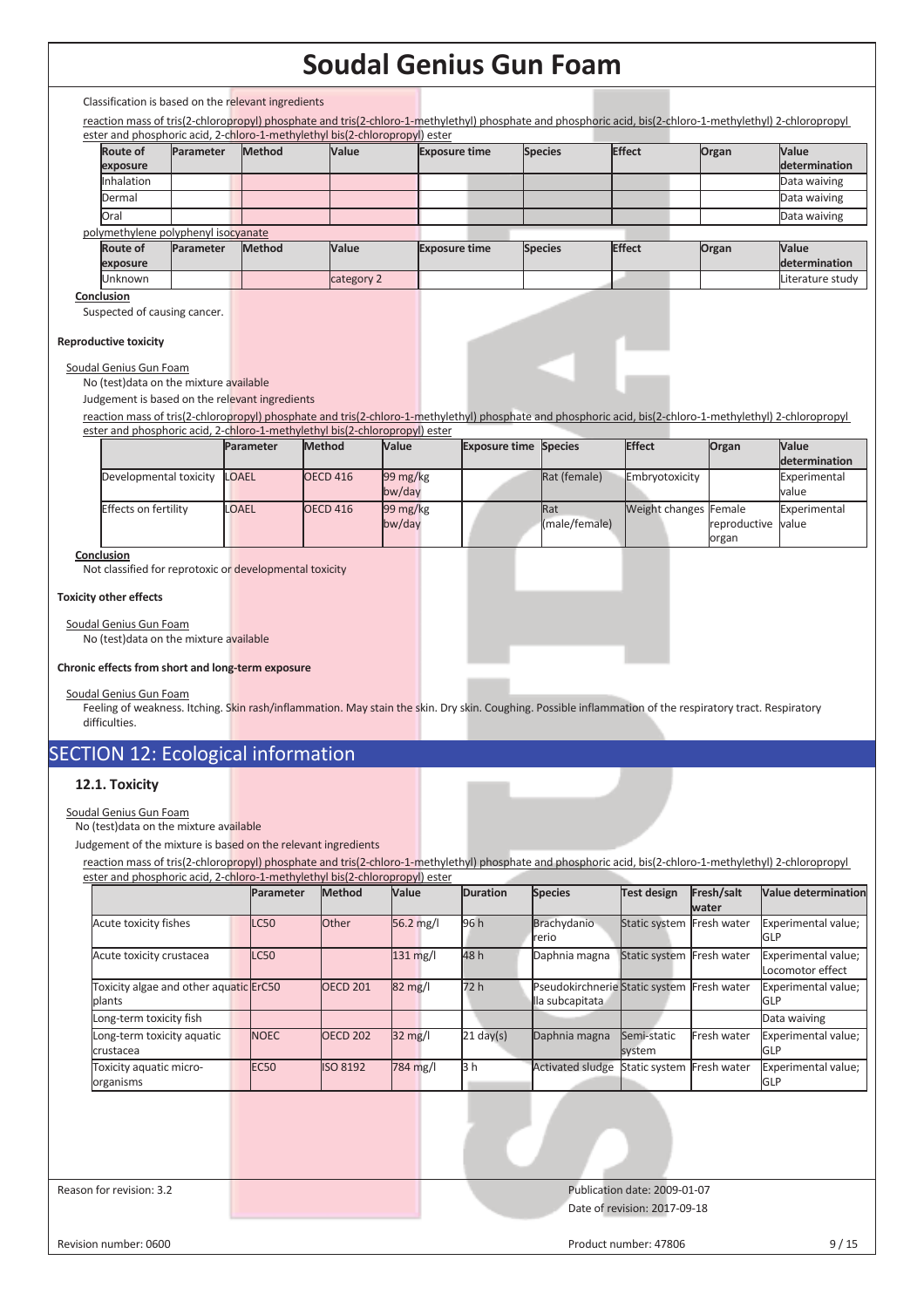Classification is based on the relevant ingredients

reaction mass of tris(2-chloropropyl) phosphate and tris(2-chloro-1-methylethyl) phosphate and phosphoric acid, bis(2-chloro-1-methylethyl) 2-chloropropyl ester and phosphoric acid, 2-chloro-1-methylethyl bis(2-chloropropyl) ester

|                 |                                     | ester and phosphone acid, z-chioro-1-methylethyl bis(z-chioropropyl) ester |              |                      |                |               |       |                      |
|-----------------|-------------------------------------|----------------------------------------------------------------------------|--------------|----------------------|----------------|---------------|-------|----------------------|
| <b>Route of</b> | Parameter                           | <b>Method</b>                                                              | <b>Value</b> | <b>Exposure time</b> | <b>Species</b> | <b>Effect</b> | Organ | Value                |
| exposure        |                                     |                                                                            |              |                      |                |               |       | <b>determination</b> |
| Inhalation      |                                     |                                                                            |              |                      |                |               |       | Data waiving         |
| Dermal          |                                     |                                                                            |              |                      |                |               |       | Data waiving         |
| Oral            |                                     |                                                                            |              |                      |                |               |       | Data waiving         |
|                 | polymethylene polyphenyl isocyanate |                                                                            |              |                      |                |               |       |                      |
| <b>Route of</b> | <b>Parameter</b>                    | <b>Method</b>                                                              | Value        | <b>Exposure time</b> | <b>Species</b> | <b>Effect</b> | Organ | Value                |
| exposure        |                                     |                                                                            |              |                      |                |               |       | determination        |
| <b>Unknown</b>  |                                     |                                                                            | category 2   |                      |                |               |       | Literature study     |
|                 |                                     |                                                                            |              |                      |                |               |       |                      |

**Conclusion** 

Suspected of causing cancer.

#### **Reproductive toxicity**

Soudal Genius Gun Foam

No (test)data on the mixture available

Judgement is based on the relevant ingredients

reaction mass of tris(2-chloropropyl) phosphate and tris(2-chloro-1-methylethyl) phosphate and phosphoric acid, bis(2-chloro-1-methylethyl) 2-chloropropyl ester and phosphoric acid, 2-chloro-1-methylethyl bis(2-chloropropyl) ester

|  |                        | Parameter | <b>Method</b>       | Value                 | <b>Exposure time Species</b> |               | Effect                | Organ              | <b>Value</b>  |
|--|------------------------|-----------|---------------------|-----------------------|------------------------------|---------------|-----------------------|--------------------|---------------|
|  |                        |           |                     |                       |                              |               |                       |                    | determination |
|  | Developmental toxicity | LOAEL     | OECD 416            | $99 \,\mathrm{mg/kg}$ |                              | Rat (female)  | Embryotoxicity        |                    | Experimental  |
|  |                        |           |                     | bw/day                |                              |               |                       |                    | value         |
|  | Effects on fertility   | LOAEL     | OECD <sub>416</sub> | $99 \,\mathrm{mg/kg}$ |                              | <b>Rat</b>    | Weight changes Female |                    | Experimental  |
|  |                        |           |                     | bw/day                |                              | (male/female) |                       | reproductive value |               |
|  |                        |           |                     |                       |                              |               |                       | organ              |               |

### **Conclusion**

Not classified for reprotoxic or developmental toxicity

### **Toxicity other effects**

Soudal Genius Gun Foam No (test)data on the mixture available

#### **Chronic effects from short and long-term exposure**

Soudal Genius Gun Foam

Feeling of weakness. Itching. Skin rash/inflammation. May stain the skin. Dry skin. Coughing. Possible inflammation of the respiratory tract. Respiratory difficulties.

# SECTION 12: Ecological information

### **12.1. Toxicity**

Soudal Genius Gun Foam

No (test)data on the mixture available

Judgement of the mixture is based on the relevant ingredients

reaction mass of tris(2-chloropropyl) phosphate and tris(2-chloro-1-methylethyl) phosphate and phosphoric acid, bis(2-chloro-1-methylethyl) 2-chloropropyl ester and phosphoric acid, 2-chloro-1-methylethyl bis(2-chloropropyl) ester

|                                                  |  | Parameter   | Method          | Value             | <b>Duration</b> | <b>Species</b>                                                | <b>Test design</b>           | Fresh/salt<br>water | <b>Value determination</b>              |
|--------------------------------------------------|--|-------------|-----------------|-------------------|-----------------|---------------------------------------------------------------|------------------------------|---------------------|-----------------------------------------|
| Acute toxicity fishes                            |  | <b>LC50</b> | Other           | 56.2 mg/l         | 96 h            | Brachydanio<br>rerio                                          | Static system Fresh water    |                     | Experimental value;<br>GLP              |
| Acute toxicity crustacea                         |  | <b>LC50</b> |                 | $131$ mg/l        | 48 h            | Daphnia magna                                                 | Static system Fresh water    |                     | Experimental value;<br>Locomotor effect |
| Toxicity algae and other aquatic ErC50<br>plants |  |             | <b>OECD 201</b> | 82 mg/l           | 72 h            | Pseudokirchnerie Static system Fresh water<br>lla subcapitata |                              |                     | Experimental value;<br><b>GLP</b>       |
| Long-term toxicity fish                          |  |             |                 |                   |                 |                                                               |                              |                     | Data waiving                            |
| Long-term toxicity aquatic<br>crustacea          |  | <b>NOEC</b> | <b>OECD 202</b> | $32 \text{ mg/l}$ | $21$ day(s)     | Daphnia magna                                                 | Semi-static<br>system        | Fresh water         | Experimental value;<br><b>GLP</b>       |
| Toxicity aquatic micro-<br>organisms             |  | <b>EC50</b> | <b>ISO 8192</b> | 784 mg/l          | 3 h             | <b>Activated sludge</b>                                       | Static system                | Fresh water         | Experimental value;<br><b>GLP</b>       |
|                                                  |  |             |                 |                   |                 |                                                               |                              |                     |                                         |
| Reason for revision: 3.2                         |  |             |                 |                   |                 |                                                               | Publication date: 2009-01-07 |                     |                                         |
|                                                  |  |             |                 |                   |                 |                                                               | Date of revision: 2017-09-18 |                     |                                         |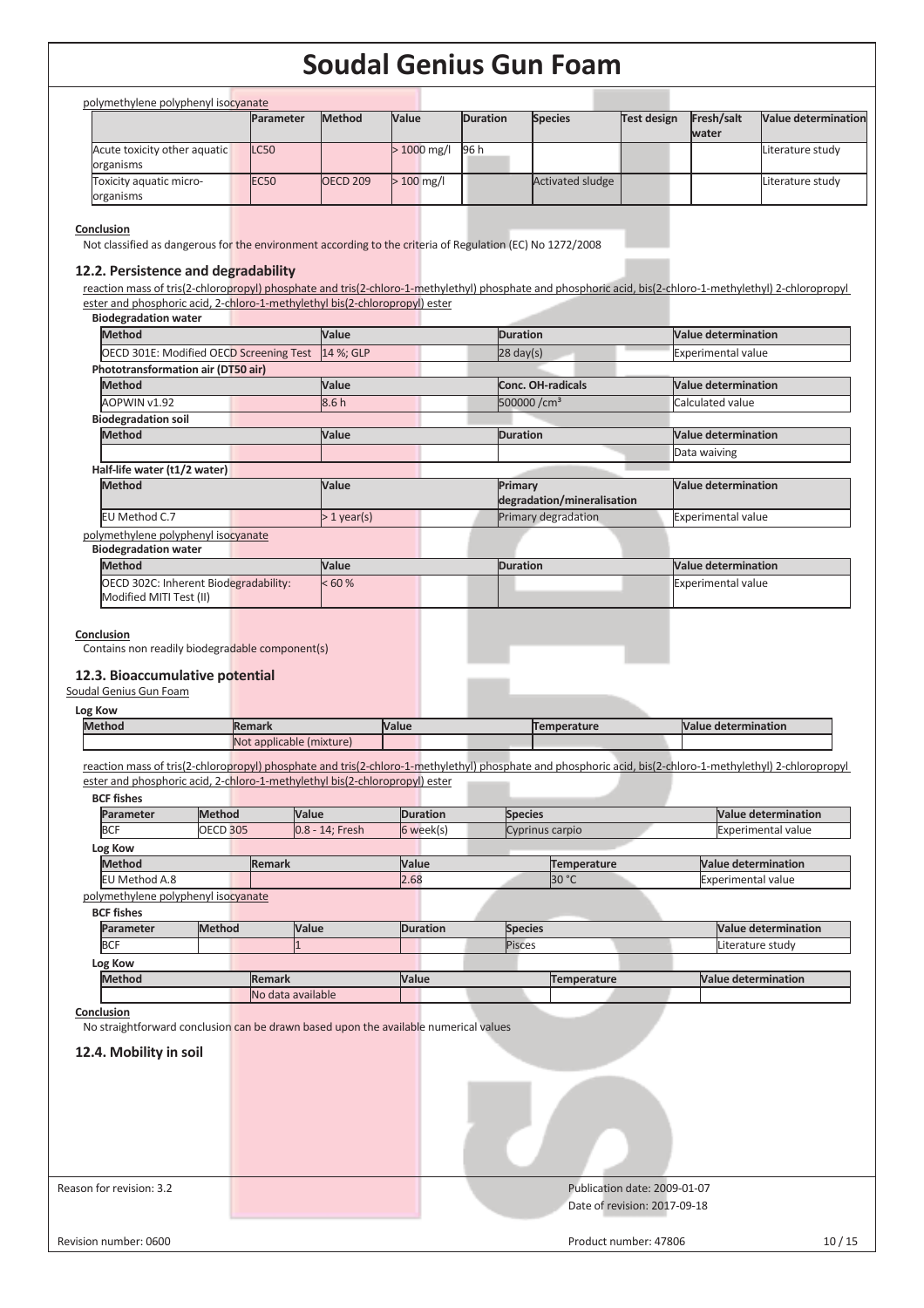| Value<br><b>Parameter</b><br><b>Method</b><br><b>Duration</b><br><b>Species</b><br><b>Test design</b><br>Fresh/salt<br>water<br><b>LC50</b><br>> 1000 mg/l<br>96 h<br><b>EC50</b><br><b>OECD 209</b><br>$>100$ mg/l<br><b>Activated sludge</b><br><b>Method</b><br>Value<br><b>Duration</b><br><b>Value determination</b><br>OECD 301E: Modified OECD Screening Test<br>14 %; GLP<br>$28$ day(s)<br>Experimental value                     | <b>Value determination</b><br>Literature study<br>Literature study |
|--------------------------------------------------------------------------------------------------------------------------------------------------------------------------------------------------------------------------------------------------------------------------------------------------------------------------------------------------------------------------------------------------------------------------------------------|--------------------------------------------------------------------|
| Acute toxicity other aquatic<br>organisms<br>organisms                                                                                                                                                                                                                                                                                                                                                                                     |                                                                    |
| Toxicity aquatic micro-                                                                                                                                                                                                                                                                                                                                                                                                                    |                                                                    |
|                                                                                                                                                                                                                                                                                                                                                                                                                                            |                                                                    |
| Conclusion<br>Not classified as dangerous for the environment according to the criteria of Regulation (EC) No 1272/2008<br>12.2. Persistence and degradability<br>reaction mass of tris(2-chloropropyl) phosphate and tris(2-chloro-1-methylethyl) phosphate and phosphoric acid, bis(2-chloro-1-methylethyl) 2-chloropropyl<br>ester and phosphoric acid, 2-chloro-1-methylethyl bis(2-chloropropyl) ester<br><b>Biodegradation water</b> |                                                                    |
|                                                                                                                                                                                                                                                                                                                                                                                                                                            |                                                                    |
|                                                                                                                                                                                                                                                                                                                                                                                                                                            |                                                                    |
| Phototransformation air (DT50 air)                                                                                                                                                                                                                                                                                                                                                                                                         |                                                                    |
|                                                                                                                                                                                                                                                                                                                                                                                                                                            |                                                                    |
|                                                                                                                                                                                                                                                                                                                                                                                                                                            |                                                                    |
| Value<br><b>Method</b><br><b>Conc. OH-radicals</b><br><b>Value determination</b>                                                                                                                                                                                                                                                                                                                                                           |                                                                    |
| 8.6h<br>500000/cm <sup>3</sup><br>AOPWIN v1.92<br>Calculated value                                                                                                                                                                                                                                                                                                                                                                         |                                                                    |
| <b>Biodegradation soil</b>                                                                                                                                                                                                                                                                                                                                                                                                                 |                                                                    |
| <b>Method</b><br>Value<br><b>Duration</b><br><b>Value determination</b>                                                                                                                                                                                                                                                                                                                                                                    |                                                                    |
| Data waiving                                                                                                                                                                                                                                                                                                                                                                                                                               |                                                                    |
| Half-life water (t1/2 water)                                                                                                                                                                                                                                                                                                                                                                                                               |                                                                    |
| Value<br><b>Value determination</b><br><b>Method</b><br>Primary                                                                                                                                                                                                                                                                                                                                                                            |                                                                    |
| degradation/mineralisation                                                                                                                                                                                                                                                                                                                                                                                                                 |                                                                    |
| EU Method C.7<br>Primary degradation<br>Experimental value<br>$>1$ year(s)                                                                                                                                                                                                                                                                                                                                                                 |                                                                    |
| polymethylene polyphenyl isocyanate                                                                                                                                                                                                                                                                                                                                                                                                        |                                                                    |
| <b>Biodegradation water</b>                                                                                                                                                                                                                                                                                                                                                                                                                |                                                                    |
| <b>Method</b><br>Value<br><b>Value determination</b><br><b>Duration</b>                                                                                                                                                                                                                                                                                                                                                                    |                                                                    |
| OECD 302C: Inherent Biodegradability:<br>< 60 %<br><b>Experimental value</b>                                                                                                                                                                                                                                                                                                                                                               |                                                                    |
| Modified MITI Test (II)                                                                                                                                                                                                                                                                                                                                                                                                                    |                                                                    |
| Log Kow                                                                                                                                                                                                                                                                                                                                                                                                                                    |                                                                    |
| Value<br><b>Value determination</b><br><b>Method</b><br><b>Remark</b><br><b>Temperature</b><br>Not applicable (mixture)                                                                                                                                                                                                                                                                                                                    |                                                                    |
| reaction mass of tris(2-chloropropyl) phosphate and tris(2-chloro-1-methylethyl) phosphate and phosphoric acid, bis(2-chloro-1-methylethyl) 2-chloropropyl<br>ester and phosphoric acid, 2-chloro-1-methylethyl bis(2-chloropropyl) ester<br><b>BCF fishes</b>                                                                                                                                                                             | <b>Value determination</b>                                         |
| Method<br>Value<br><b>Duration</b><br><b>Species</b><br>Parameter                                                                                                                                                                                                                                                                                                                                                                          |                                                                    |
| <b>BCF</b><br><b>OECD 305</b><br>6 week(s)<br>0.8 - 14; Fresh<br>Cyprinus carpio                                                                                                                                                                                                                                                                                                                                                           | <b>Experimental value</b>                                          |
| Log Kow                                                                                                                                                                                                                                                                                                                                                                                                                                    |                                                                    |
| <b>Method</b><br>Remark<br>Value<br><b>Temperature</b>                                                                                                                                                                                                                                                                                                                                                                                     | <b>Value determination</b>                                         |
| 30 °C<br>EU Method A.8<br>2.68                                                                                                                                                                                                                                                                                                                                                                                                             | <b>Experimental value</b>                                          |
|                                                                                                                                                                                                                                                                                                                                                                                                                                            |                                                                    |
| <b>BCF fishes</b>                                                                                                                                                                                                                                                                                                                                                                                                                          |                                                                    |
| <b>Method</b><br>Value<br><b>Duration</b><br>Parameter<br><b>Species</b>                                                                                                                                                                                                                                                                                                                                                                   | <b>Value determination</b>                                         |
| <b>BCF</b><br>Pisces                                                                                                                                                                                                                                                                                                                                                                                                                       | Literature study                                                   |
| Log Kow                                                                                                                                                                                                                                                                                                                                                                                                                                    |                                                                    |
| <b>Method</b><br><b>Remark</b><br>Value<br><b>Temperature</b>                                                                                                                                                                                                                                                                                                                                                                              | <b>Value determination</b>                                         |
| No data available                                                                                                                                                                                                                                                                                                                                                                                                                          |                                                                    |
|                                                                                                                                                                                                                                                                                                                                                                                                                                            |                                                                    |
|                                                                                                                                                                                                                                                                                                                                                                                                                                            |                                                                    |
|                                                                                                                                                                                                                                                                                                                                                                                                                                            |                                                                    |
|                                                                                                                                                                                                                                                                                                                                                                                                                                            |                                                                    |
|                                                                                                                                                                                                                                                                                                                                                                                                                                            |                                                                    |
|                                                                                                                                                                                                                                                                                                                                                                                                                                            |                                                                    |
| polymethylene polyphenyl isocyanate<br>Conclusion<br>No straightforward conclusion can be drawn based upon the available numerical values<br>12.4. Mobility in soil                                                                                                                                                                                                                                                                        |                                                                    |
|                                                                                                                                                                                                                                                                                                                                                                                                                                            |                                                                    |
|                                                                                                                                                                                                                                                                                                                                                                                                                                            |                                                                    |
|                                                                                                                                                                                                                                                                                                                                                                                                                                            |                                                                    |
|                                                                                                                                                                                                                                                                                                                                                                                                                                            |                                                                    |
| Reason for revision: 3.2<br>Publication date: 2009-01-07                                                                                                                                                                                                                                                                                                                                                                                   |                                                                    |
| Date of revision: 2017-09-18                                                                                                                                                                                                                                                                                                                                                                                                               |                                                                    |
|                                                                                                                                                                                                                                                                                                                                                                                                                                            |                                                                    |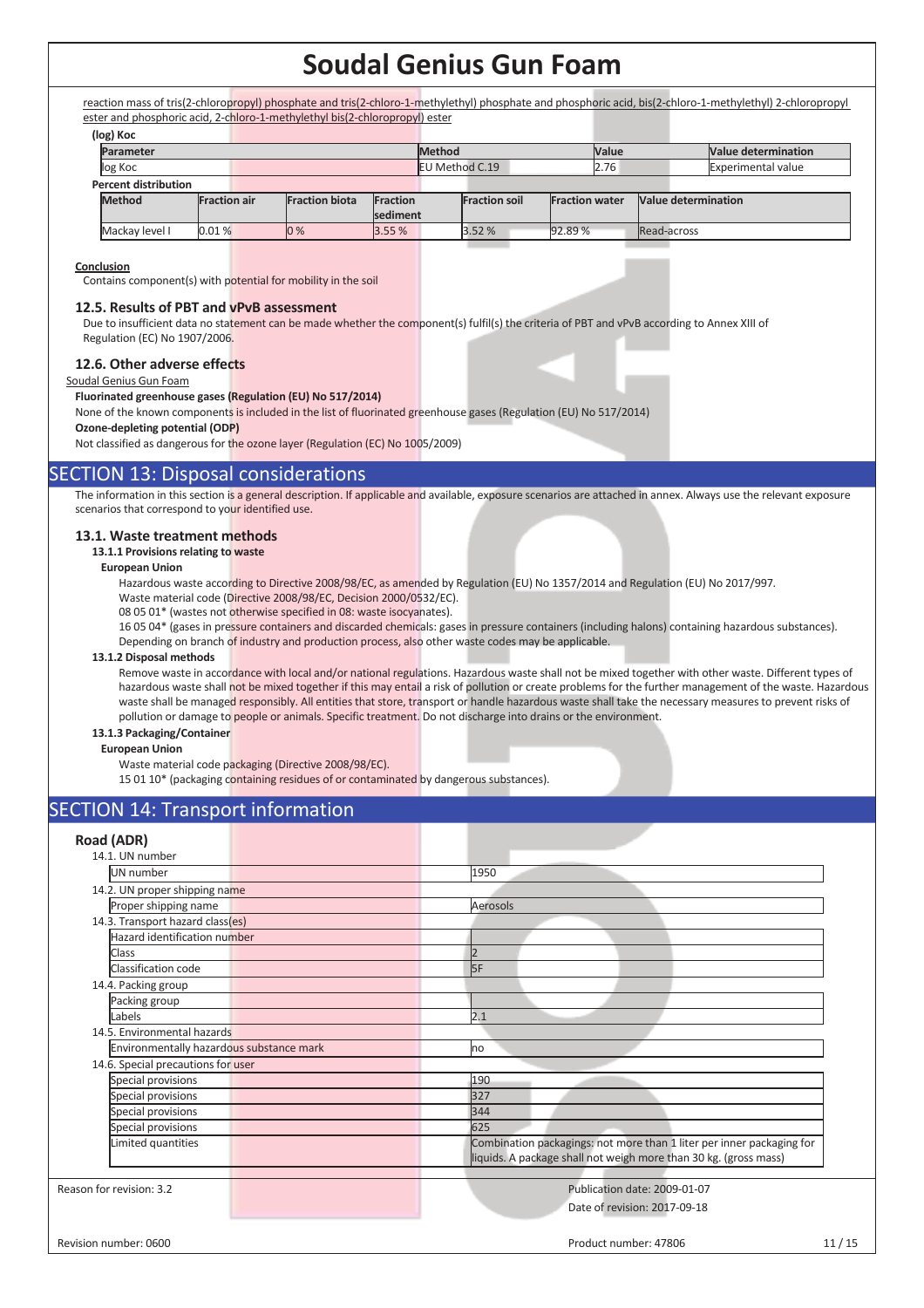reaction mass of tris(2-chloropropyl) phosphate and tris(2-chloro-1-methylethyl) phosphate and phosphoric acid, bis(2-chloro-1-methylethyl) 2-chloropropyl ester and phosphoric acid, 2-chloro-1-methylethyl bis(2-chloropropyl) ester

|                             | (log) Koc                            |       |                       |                 |                       |                      |                               |                     |  |                           |                            |
|-----------------------------|--------------------------------------|-------|-----------------------|-----------------|-----------------------|----------------------|-------------------------------|---------------------|--|---------------------------|----------------------------|
|                             | Parameter                            |       |                       |                 |                       |                      | <b>Method</b><br><b>Value</b> |                     |  |                           | <b>Value determination</b> |
|                             | log Koc                              |       |                       |                 | <b>EU Method C.19</b> |                      |                               | 2.76                |  | <b>Experimental value</b> |                            |
| <b>Percent distribution</b> |                                      |       |                       |                 |                       |                      |                               |                     |  |                           |                            |
|                             | <b>Method</b><br><b>Fraction air</b> |       | <b>Fraction biota</b> | <b>Fraction</b> |                       | <b>Fraction soil</b> | <b>Fraction water</b>         | Value determination |  |                           |                            |
|                             |                                      |       |                       | sediment        |                       |                      |                               |                     |  |                           |                            |
|                             | Mackay level I                       | 0.01% |                       | 0%              | 3.55%                 |                      | 3.52 %                        | 92.89%              |  | Read-across               |                            |

#### **Conclusion**

Contains component(s) with potential for mobility in the soil

### **12.5. Results of PBT and vPvB assessment**

Due to insufficient data no statement can be made whether the component(s) fulfil(s) the criteria of PBT and vPvB according to Annex XIII of Regulation (EC) No 1907/2006.

### **12.6. Other adverse effects**

Soudal Genius Gun Foam

#### **Fluorinated greenhouse gases (Regulation (EU) No 517/2014)**

None of the known components is included in the list of fluorinated greenhouse gases (Regulation (EU) No 517/2014) **Ozone-depleting potential (ODP)** 

Not classified as dangerous for the ozone layer (Regulation (EC) No 1005/2009)

### SECTION 13: Disposal considerations

The information in this section is a general description. If applicable and available, exposure scenarios are attached in annex. Always use the relevant exposure scenarios that correspond to your identified use.

### **13.1. Waste treatment methods**

#### **13.1.1 Provisions relating to waste**

#### **European Union**

Hazardous waste according to Directive 2008/98/EC, as amended by Regulation (EU) No 1357/2014 and Regulation (EU) No 2017/997.

- Waste material code (Directive 2008/98/EC, Decision 2000/0532/EC).
- 08 05 01\* (wastes not otherwise specified in 08: waste isocyanates).

16 05 04\* (gases in pressure containers and discarded chemicals: gases in pressure containers (including halons) containing hazardous substances). Depending on branch of industry and production process, also other waste codes may be applicable.

### **13.1.2 Disposal methods**

Remove waste in accordance with local and/or national regulations. Hazardous waste shall not be mixed together with other waste. Different types of hazardous waste shall not be mixed together if this may entail a risk of pollution or create problems for the further management of the waste. Hazardous waste shall be managed responsibly. All entities that store, transport or handle hazardous waste shall take the necessary measures to prevent risks of pollution or damage to people or animals. Specific treatment. Do not discharge into drains or the environment.

### **13.1.3 Packaging/Container**

#### **European Union**

Waste material code packaging (Directive 2008/98/EC).

15 01 10\* (packaging containing residues of or contaminated by dangerous substances).

### SECTION 14: Transport information

| Road (ADR)                               |                                                                       |
|------------------------------------------|-----------------------------------------------------------------------|
| 14.1. UN number                          |                                                                       |
| UN number                                | 1950                                                                  |
| 14.2. UN proper shipping name            |                                                                       |
| Proper shipping name                     | Aerosols                                                              |
| 14.3. Transport hazard class(es)         |                                                                       |
| <b>Hazard identification number</b>      |                                                                       |
| Class                                    | 2                                                                     |
| Classification code                      | 5F                                                                    |
| 14.4. Packing group                      |                                                                       |
| Packing group                            |                                                                       |
| Labels                                   | 2.1                                                                   |
| 14.5. Environmental hazards              |                                                                       |
| Environmentally hazardous substance mark | no                                                                    |
| 14.6. Special precautions for user       |                                                                       |
| Special provisions                       | 190                                                                   |
| Special provisions                       | 327                                                                   |
| Special provisions                       | 344                                                                   |
| Special provisions                       | 625                                                                   |
| Limited quantities                       | Combination packagings: not more than 1 liter per inner packaging for |
|                                          | liquids. A package shall not weigh more than 30 kg. (gross mass)      |
|                                          |                                                                       |
| Reason for revision: 3.2                 | Publication date: 2009-01-07                                          |
|                                          | Date of revision: 2017-09-18                                          |
|                                          |                                                                       |
|                                          |                                                                       |
| Revision number: 0600                    | 11/15<br>Product number: 47806                                        |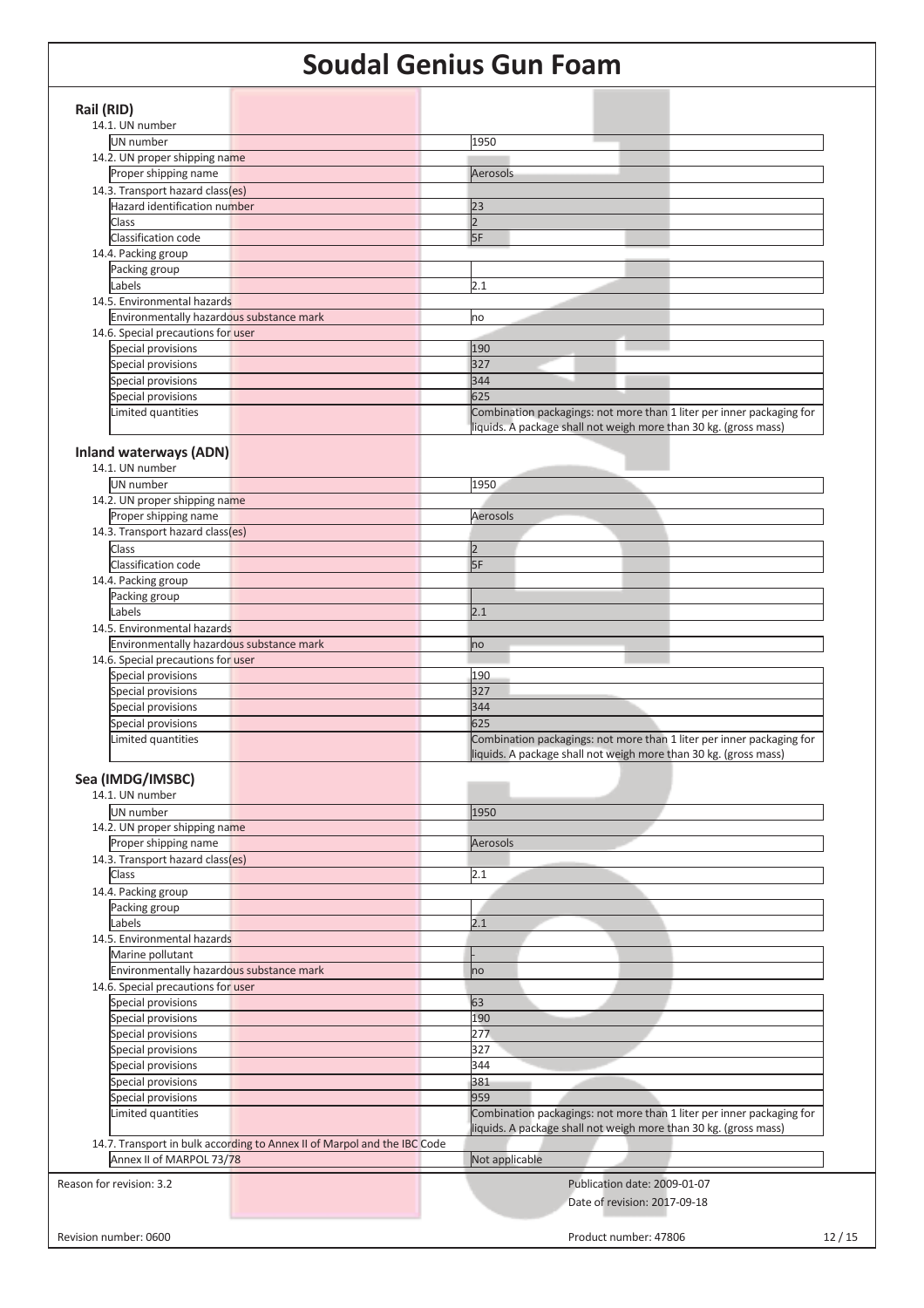| Rail (RID)                                                               |                                                                       |
|--------------------------------------------------------------------------|-----------------------------------------------------------------------|
| 14.1. UN number                                                          |                                                                       |
| UN number                                                                | 1950                                                                  |
| 14.2. UN proper shipping name                                            |                                                                       |
| Proper shipping name                                                     | Aerosols                                                              |
|                                                                          |                                                                       |
| 14.3. Transport hazard class(es)                                         |                                                                       |
| <b>Hazard identification number</b>                                      | 23                                                                    |
| Class                                                                    | $\overline{2}$                                                        |
| Classification code                                                      | 5F                                                                    |
| 14.4. Packing group                                                      |                                                                       |
| Packing group                                                            |                                                                       |
| Labels                                                                   | 2.1                                                                   |
| 14.5. Environmental hazards                                              |                                                                       |
| Environmentally hazardous substance mark                                 | no                                                                    |
| 14.6. Special precautions for user                                       |                                                                       |
| Special provisions                                                       | 190                                                                   |
| Special provisions                                                       | 327                                                                   |
| Special provisions                                                       | 344                                                                   |
|                                                                          | 625                                                                   |
| Special provisions                                                       |                                                                       |
| Limited quantities                                                       | Combination packagings: not more than 1 liter per inner packaging for |
|                                                                          | liquids. A package shall not weigh more than 30 kg. (gross mass)      |
| <b>Inland waterways (ADN)</b>                                            |                                                                       |
| 14.1. UN number                                                          |                                                                       |
|                                                                          |                                                                       |
| UN number                                                                | 1950                                                                  |
| 14.2. UN proper shipping name                                            |                                                                       |
| Proper shipping name                                                     | Aerosols                                                              |
| 14.3. Transport hazard class(es)                                         |                                                                       |
| <b>Class</b>                                                             | $\vert$ <sub>2</sub>                                                  |
| Classification code                                                      | 5F                                                                    |
| 14.4. Packing group                                                      |                                                                       |
| Packing group                                                            |                                                                       |
| Labels                                                                   | 2.1                                                                   |
| 14.5. Environmental hazards                                              |                                                                       |
| Environmentally hazardous substance mark                                 |                                                                       |
|                                                                          | no                                                                    |
| 14.6. Special precautions for user                                       |                                                                       |
| Special provisions                                                       | 190                                                                   |
| Special provisions                                                       | 327                                                                   |
| Special provisions                                                       | 344                                                                   |
| Special provisions                                                       | 625                                                                   |
| Limited quantities                                                       | Combination packagings: not more than 1 liter per inner packaging for |
|                                                                          | liquids. A package shall not weigh more than 30 kg. (gross mass)      |
|                                                                          |                                                                       |
| Sea (IMDG/IMSBC)                                                         |                                                                       |
| 14.1. UN number                                                          |                                                                       |
| UN number                                                                | 1950                                                                  |
| 14.2. UN proper shipping name                                            |                                                                       |
| Proper shipping name                                                     | Aerosols                                                              |
| 14.3. Transport hazard class(es)                                         |                                                                       |
| Class                                                                    | 2.1                                                                   |
|                                                                          |                                                                       |
| 14.4. Packing group                                                      |                                                                       |
| Packing group                                                            |                                                                       |
| Labels                                                                   | 2.1                                                                   |
| 14.5. Environmental hazards                                              |                                                                       |
| Marine pollutant                                                         |                                                                       |
| Environmentally hazardous substance mark                                 | no                                                                    |
| 14.6. Special precautions for user                                       |                                                                       |
| Special provisions                                                       | 63                                                                    |
| Special provisions                                                       | 190                                                                   |
| Special provisions                                                       | 277                                                                   |
| Special provisions                                                       | 327                                                                   |
|                                                                          | 344                                                                   |
| Special provisions                                                       |                                                                       |
| Special provisions                                                       | 381                                                                   |
| Special provisions                                                       | 959                                                                   |
| Limited quantities                                                       | Combination packagings: not more than 1 liter per inner packaging for |
|                                                                          | liquids. A package shall not weigh more than 30 kg. (gross mass)      |
| 14.7. Transport in bulk according to Annex II of Marpol and the IBC Code |                                                                       |
| Annex II of MARPOL 73/78                                                 | Not applicable                                                        |
|                                                                          |                                                                       |
| Reason for revision: 3.2                                                 | Publication date: 2009-01-07                                          |
|                                                                          | Date of revision: 2017-09-18                                          |
|                                                                          |                                                                       |
|                                                                          |                                                                       |
| Revision number: 0600                                                    | Product number: 47806<br>12/15                                        |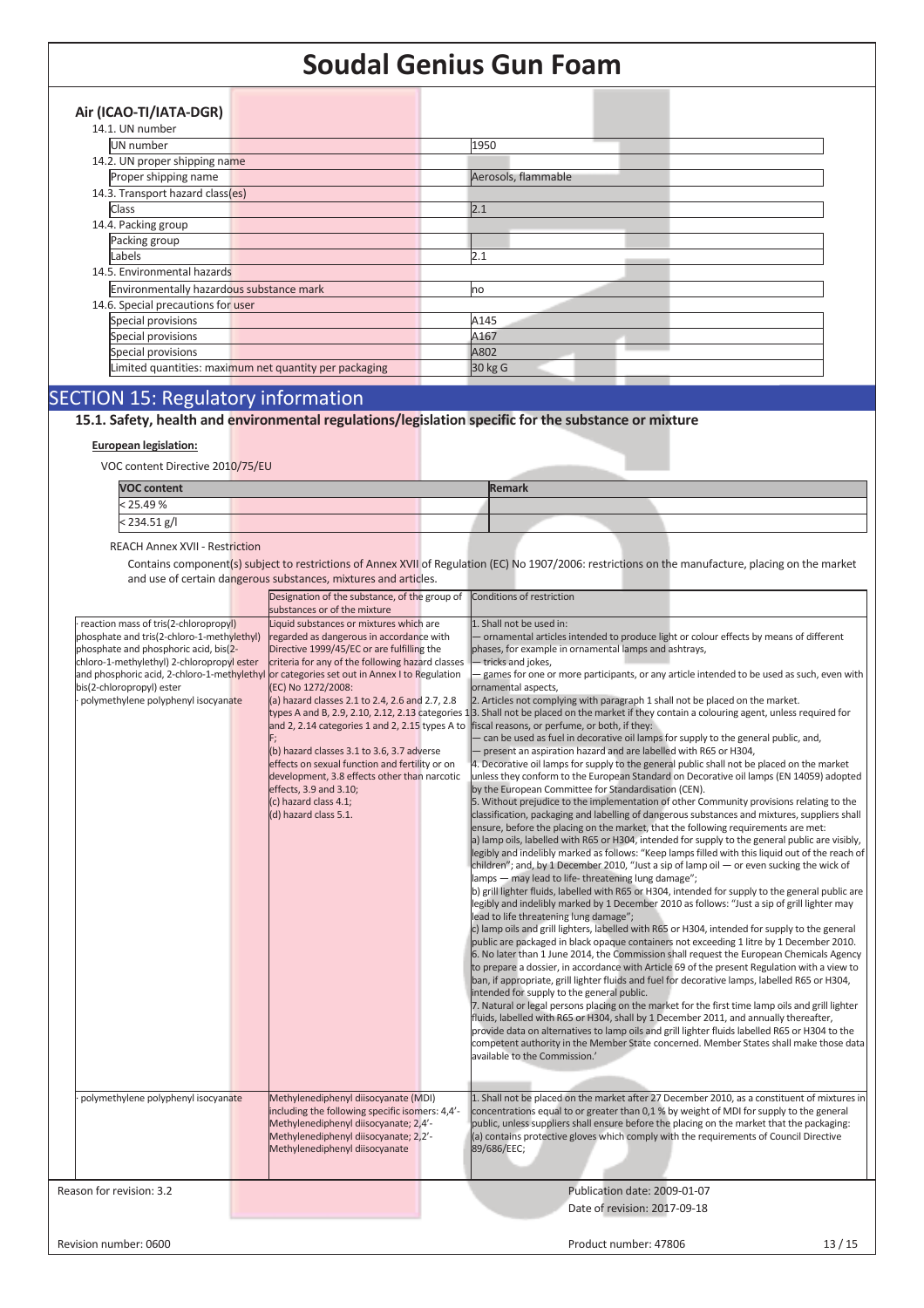| Air (ICAO-TI/IATA-DGR)                   |                                                        |                     |
|------------------------------------------|--------------------------------------------------------|---------------------|
| 14.1. UN number                          |                                                        |                     |
| UN number                                |                                                        | 1950                |
| 14.2. UN proper shipping name            |                                                        |                     |
| Proper shipping name                     |                                                        | Aerosols, flammable |
| 14.3. Transport hazard class(es)         |                                                        |                     |
| Class                                    |                                                        | 2.1                 |
| 14.4. Packing group                      |                                                        |                     |
| Packing group                            |                                                        |                     |
| Labels                                   |                                                        | 2.1                 |
| 14.5. Environmental hazards              |                                                        |                     |
| Environmentally hazardous substance mark |                                                        | no                  |
| 14.6. Special precautions for user       |                                                        |                     |
| Special provisions                       |                                                        | A145                |
| Special provisions                       |                                                        | A167                |
| Special provisions                       |                                                        | A802                |
|                                          | Limited quantities: maximum net quantity per packaging | 30 kg G             |
|                                          |                                                        |                     |

# SECTION 15: Regulatory information

**15.1. Safety, health and environmental regulations/legislation specific for the substance or mixture**

### **European legislation:**

VOC content Directive 2010/75/EU

| <b>VOC content</b> | <b>Remark</b> |  |  |  |  |
|--------------------|---------------|--|--|--|--|
| < 25.49 %          |               |  |  |  |  |
| $< 234.51$ g/l     |               |  |  |  |  |

### REACH Annex XVII - Restriction

Contains component(s) subject to restrictions of Annex XVII of Regulation (EC) No 1907/2006: restrictions on the manufacture, placing on the market and use of certain dangerous substances, mixtures and articles.

|                                                                                            | Designation of the substance, of the group of<br>substances or of the mixture | Conditions of restriction                                                                                                                     |
|--------------------------------------------------------------------------------------------|-------------------------------------------------------------------------------|-----------------------------------------------------------------------------------------------------------------------------------------------|
| reaction mass of tris(2-chloropropyl)                                                      | Liquid substances or mixtures which are                                       | 1. Shall not be used in:                                                                                                                      |
| phosphate and tris(2-chloro-1-methylethyl)                                                 | regarded as dangerous in accordance with                                      | - ornamental articles intended to produce light or colour effects by means of different                                                       |
| phosphate and phosphoric acid, bis(2-                                                      | Directive 1999/45/EC or are fulfilling the                                    | phases, for example in ornamental lamps and ashtrays,                                                                                         |
|                                                                                            |                                                                               |                                                                                                                                               |
| chloro-1-methylethyl) 2-chloropropyl ester                                                 | criteria for any of the following hazard classes                              | - tricks and jokes,                                                                                                                           |
| and phosphoric acid, 2-chloro-1-methylethyl or categories set out in Annex I to Regulation |                                                                               | - games for one or more participants, or any article intended to be used as such, even with                                                   |
| bis(2-chloropropyl) ester                                                                  | (EC) No 1272/2008:                                                            | ornamental aspects,                                                                                                                           |
| polymethylene polyphenyl isocyanate                                                        | (a) hazard classes 2.1 to 2.4, 2.6 and 2.7, 2.8                               | 2. Articles not complying with paragraph 1 shall not be placed on the market.                                                                 |
|                                                                                            |                                                                               | types A and B, 2.9, 2.10, 2.12, 2.13 categories 1.3. Shall not be placed on the market if they contain a colouring agent, unless required for |
|                                                                                            | and 2, 2.14 categories 1 and 2, 2.15 types A to                               | fiscal reasons, or perfume, or both, if they:                                                                                                 |
|                                                                                            |                                                                               | - can be used as fuel in decorative oil lamps for supply to the general public, and,                                                          |
|                                                                                            | (b) hazard classes 3.1 to 3.6, 3.7 adverse                                    | - present an aspiration hazard and are labelled with R65 or H304,                                                                             |
|                                                                                            | effects on sexual function and fertility or on                                | 4. Decorative oil lamps for supply to the general public shall not be placed on the market                                                    |
|                                                                                            | development, 3.8 effects other than narcotic                                  | unless they conform to the European Standard on Decorative oil lamps (EN 14059) adopted                                                       |
|                                                                                            | effects, 3.9 and 3.10;                                                        | by the European Committee for Standardisation (CEN).                                                                                          |
|                                                                                            | (c) hazard class 4.1;                                                         | 5. Without prejudice to the implementation of other Community provisions relating to the                                                      |
|                                                                                            | (d) hazard class 5.1.                                                         | classification, packaging and labelling of dangerous substances and mixtures, suppliers shall                                                 |
|                                                                                            |                                                                               | ensure, before the placing on the market, that the following requirements are met:                                                            |
|                                                                                            |                                                                               | a) lamp oils, labelled with R65 or H304, intended for supply to the general public are visibly,                                               |
|                                                                                            |                                                                               | legibly and indelibly marked as follows: "Keep lamps filled with this liquid out of the reach of                                              |
|                                                                                            |                                                                               | children"; and, by 1 December 2010, "Just a sip of lamp oil — or even sucking the wick of                                                     |
|                                                                                            |                                                                               | lamps - may lead to life-threatening lung damage";                                                                                            |
|                                                                                            |                                                                               | b) grill lighter fluids, labelled with R65 or H304, intended for supply to the general public are                                             |
|                                                                                            |                                                                               | legibly and indelibly marked by 1 December 2010 as follows: "Just a sip of grill lighter may                                                  |
|                                                                                            |                                                                               |                                                                                                                                               |
|                                                                                            |                                                                               | lead to life threatening lung damage";                                                                                                        |
|                                                                                            |                                                                               | c) lamp oils and grill lighters, labelled with R65 or H304, intended for supply to the general                                                |
|                                                                                            |                                                                               | public are packaged in black opaque containers not exceeding 1 litre by 1 December 2010.                                                      |
|                                                                                            |                                                                               | 6. No later than 1 June 2014, the Commission shall request the European Chemicals Agency                                                      |
|                                                                                            |                                                                               | to prepare a dossier, in accordance with Article 69 of the present Regulation with a view to                                                  |
|                                                                                            |                                                                               | ban, if appropriate, grill lighter fluids and fuel for decorative lamps, labelled R65 or H304,                                                |
|                                                                                            |                                                                               | intended for supply to the general public.                                                                                                    |
|                                                                                            |                                                                               | 7. Natural or legal persons placing on the market for the first time lamp oils and grill lighter                                              |
|                                                                                            |                                                                               | fluids, labelled with R65 or H304, shall by 1 December 2011, and annually thereafter,                                                         |
|                                                                                            |                                                                               | provide data on alternatives to lamp oils and grill lighter fluids labelled R65 or H304 to the                                                |
|                                                                                            |                                                                               | competent authority in the Member State concerned. Member States shall make those data                                                        |
|                                                                                            |                                                                               | available to the Commission.'                                                                                                                 |
|                                                                                            |                                                                               |                                                                                                                                               |
|                                                                                            |                                                                               |                                                                                                                                               |
| polymethylene polyphenyl isocyanate                                                        | Methylenediphenyl diisocyanate (MDI)                                          | 1. Shall not be placed on the market after 27 December 2010, as a constituent of mixtures in                                                  |
|                                                                                            | including the following specific isomers: 4.4'-                               | concentrations equal to or greater than 0,1 % by weight of MDI for supply to the general                                                      |
|                                                                                            | Methylenediphenyl diisocyanate; 2,4'-                                         | public, unless suppliers shall ensure before the placing on the market that the packaging:                                                    |
|                                                                                            | Methylenediphenyl diisocyanate; 2,2'-                                         | (a) contains protective gloves which comply with the requirements of Council Directive                                                        |
|                                                                                            | Methylenediphenyl diisocyanate                                                | 89/686/EEC;                                                                                                                                   |
|                                                                                            |                                                                               |                                                                                                                                               |
|                                                                                            |                                                                               |                                                                                                                                               |
| Reason for revision: 3.2                                                                   |                                                                               | Publication date: 2009-01-07                                                                                                                  |
|                                                                                            |                                                                               | Date of revision: 2017-09-18                                                                                                                  |
|                                                                                            |                                                                               |                                                                                                                                               |
| Revision number: 0600                                                                      |                                                                               | 13/15<br>Product number: 47806                                                                                                                |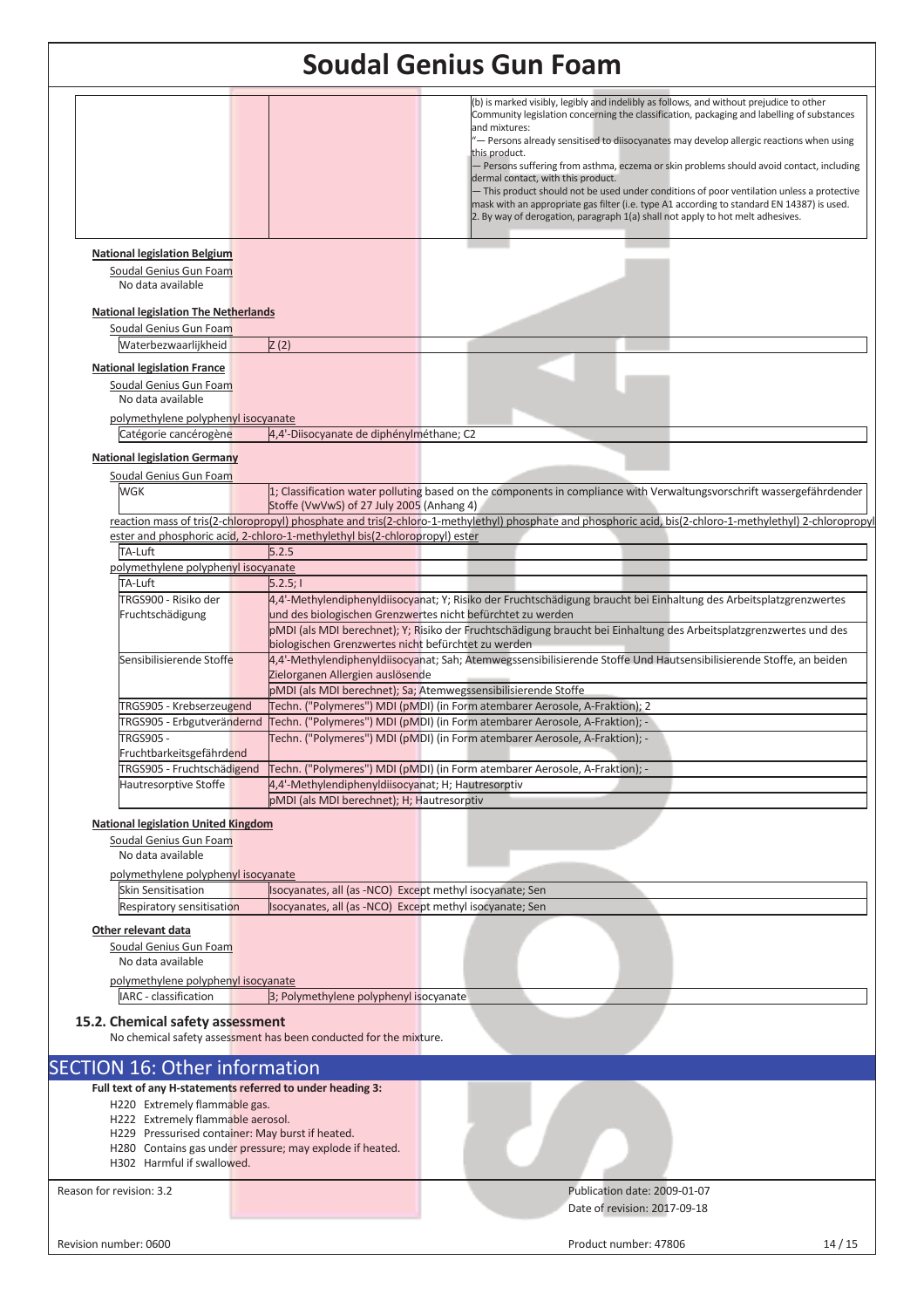|                                                                                                              |                                                                                                                      | <b>Soudal Genius Gun Foam</b>                                                                                                                                                                                                                                                                                                                                                                                                                                                                                                                                                                                                                                                                                                      |
|--------------------------------------------------------------------------------------------------------------|----------------------------------------------------------------------------------------------------------------------|------------------------------------------------------------------------------------------------------------------------------------------------------------------------------------------------------------------------------------------------------------------------------------------------------------------------------------------------------------------------------------------------------------------------------------------------------------------------------------------------------------------------------------------------------------------------------------------------------------------------------------------------------------------------------------------------------------------------------------|
|                                                                                                              |                                                                                                                      | (b) is marked visibly, legibly and indelibly as follows, and without prejudice to other<br>Community legislation concerning the classification, packaging and labelling of substances<br>and mixtures:<br>- Persons already sensitised to diisocyanates may develop allergic reactions when using<br>this product.<br>- Persons suffering from asthma, eczema or skin problems should avoid contact, including<br>dermal contact, with this product.<br>- This product should not be used under conditions of poor ventilation unless a protective<br>mask with an appropriate gas filter (i.e. type A1 according to standard EN 14387) is used.<br>2. By way of derogation, paragraph 1(a) shall not apply to hot melt adhesives. |
| <b>National legislation Belgium</b><br>Soudal Genius Gun Foam<br>No data available                           |                                                                                                                      |                                                                                                                                                                                                                                                                                                                                                                                                                                                                                                                                                                                                                                                                                                                                    |
| <b>National legislation The Netherlands</b><br>Soudal Genius Gun Foam                                        |                                                                                                                      |                                                                                                                                                                                                                                                                                                                                                                                                                                                                                                                                                                                                                                                                                                                                    |
| Waterbezwaarliikheid<br><b>National legislation France</b><br>Soudal Genius Gun Foam<br>No data available    | Z(2)                                                                                                                 |                                                                                                                                                                                                                                                                                                                                                                                                                                                                                                                                                                                                                                                                                                                                    |
| polymethylene polyphenyl isocyanate                                                                          |                                                                                                                      |                                                                                                                                                                                                                                                                                                                                                                                                                                                                                                                                                                                                                                                                                                                                    |
| Catégorie cancérogène                                                                                        | 4,4'-Diisocyanate de diphénylméthane; C2                                                                             |                                                                                                                                                                                                                                                                                                                                                                                                                                                                                                                                                                                                                                                                                                                                    |
| <b>National legislation Germany</b>                                                                          |                                                                                                                      |                                                                                                                                                                                                                                                                                                                                                                                                                                                                                                                                                                                                                                                                                                                                    |
| Soudal Genius Gun Foam<br>WGK                                                                                | Stoffe (VwVwS) of 27 July 2005 (Anhang 4)                                                                            | 1; Classification water polluting based on the components in compliance with Verwaltungsvorschrift wassergefährdender                                                                                                                                                                                                                                                                                                                                                                                                                                                                                                                                                                                                              |
|                                                                                                              |                                                                                                                      | reaction mass of tris(2-chloropropyl) phosphate and tris(2-chloro-1-methylethyl) phosphate and phosphoric acid, bis(2-chloro-1-methylethyl) 2-chloropropyl                                                                                                                                                                                                                                                                                                                                                                                                                                                                                                                                                                         |
| TA-Luft                                                                                                      | ester and phosphoric acid, 2-chloro-1-methylethyl bis(2-chloropropyl) ester<br>5.2.5                                 |                                                                                                                                                                                                                                                                                                                                                                                                                                                                                                                                                                                                                                                                                                                                    |
| polymethylene polyphenyl isocyanate                                                                          |                                                                                                                      |                                                                                                                                                                                                                                                                                                                                                                                                                                                                                                                                                                                                                                                                                                                                    |
| TA-Luft                                                                                                      | 5.2.5; I                                                                                                             |                                                                                                                                                                                                                                                                                                                                                                                                                                                                                                                                                                                                                                                                                                                                    |
| TRGS900 - Risiko der                                                                                         |                                                                                                                      | 4,4'-Methylendiphenyldiisocyanat; Y; Risiko der Fruchtschädigung braucht bei Einhaltung des Arbeitsplatzgrenzwertes                                                                                                                                                                                                                                                                                                                                                                                                                                                                                                                                                                                                                |
| Fruchtschädigung                                                                                             |                                                                                                                      | und des biologischen Grenzwertes nicht befürchtet zu werden                                                                                                                                                                                                                                                                                                                                                                                                                                                                                                                                                                                                                                                                        |
|                                                                                                              | biologischen Grenzwertes nicht befürchtet zu werden                                                                  | pMDI (als MDI berechnet); Y; Risiko der Fruchtschädigung braucht bei Einhaltung des Arbeitsplatzgrenzwertes und des                                                                                                                                                                                                                                                                                                                                                                                                                                                                                                                                                                                                                |
| Sensibilisierende Stoffe                                                                                     |                                                                                                                      | 4,4'-Methylendiphenyldiisocyanat; Sah; Atemwegssensibilisierende Stoffe Und Hautsensibilisierende Stoffe, an beiden                                                                                                                                                                                                                                                                                                                                                                                                                                                                                                                                                                                                                |
|                                                                                                              | Zielorganen Allergien auslösende                                                                                     |                                                                                                                                                                                                                                                                                                                                                                                                                                                                                                                                                                                                                                                                                                                                    |
|                                                                                                              |                                                                                                                      | pMDI (als MDI berechnet); Sa; Atemwegssensibilisierende Stoffe                                                                                                                                                                                                                                                                                                                                                                                                                                                                                                                                                                                                                                                                     |
| TRGS905 - Krebserzeugend                                                                                     |                                                                                                                      | Techn. ("Polymeres") MDI (pMDI) (in Form atembarer Aerosole, A-Fraktion); 2                                                                                                                                                                                                                                                                                                                                                                                                                                                                                                                                                                                                                                                        |
| TRGS905 - Erbgutverändernd<br><b>TRGS905</b>                                                                 |                                                                                                                      | Techn. ("Polymeres") MDI (pMDI) (in Form atembarer Aerosole, A-Fraktion); -<br>Techn. ("Polymeres") MDI (pMDI) (in Form atembarer Aerosole, A-Fraktion); -                                                                                                                                                                                                                                                                                                                                                                                                                                                                                                                                                                         |
| Fruchtbarkeitsgefährdend                                                                                     |                                                                                                                      |                                                                                                                                                                                                                                                                                                                                                                                                                                                                                                                                                                                                                                                                                                                                    |
| TRGS905 - Fruchtschädigend                                                                                   |                                                                                                                      | Techn. ("Polymeres") MDI (pMDI) (in Form atembarer Aerosole, A-Fraktion); -                                                                                                                                                                                                                                                                                                                                                                                                                                                                                                                                                                                                                                                        |
| Hautresorptive Stoffe                                                                                        | 4,4'-Methylendiphenyldiisocyanat; H; Hautresorptiv                                                                   |                                                                                                                                                                                                                                                                                                                                                                                                                                                                                                                                                                                                                                                                                                                                    |
|                                                                                                              | pMDI (als MDI berechnet); H; Hautresorptiv                                                                           |                                                                                                                                                                                                                                                                                                                                                                                                                                                                                                                                                                                                                                                                                                                                    |
| <b>National legislation United Kingdom</b>                                                                   |                                                                                                                      |                                                                                                                                                                                                                                                                                                                                                                                                                                                                                                                                                                                                                                                                                                                                    |
| Soudal Genius Gun Foam                                                                                       |                                                                                                                      |                                                                                                                                                                                                                                                                                                                                                                                                                                                                                                                                                                                                                                                                                                                                    |
| No data available                                                                                            |                                                                                                                      |                                                                                                                                                                                                                                                                                                                                                                                                                                                                                                                                                                                                                                                                                                                                    |
| polymethylene polyphenyl isocyanate                                                                          |                                                                                                                      |                                                                                                                                                                                                                                                                                                                                                                                                                                                                                                                                                                                                                                                                                                                                    |
| Skin Sensitisation                                                                                           | Isocyanates, all (as -NCO) Except methyl isocyanate; Sen<br>Isocyanates, all (as -NCO) Except methyl isocyanate; Sen |                                                                                                                                                                                                                                                                                                                                                                                                                                                                                                                                                                                                                                                                                                                                    |
| Respiratory sensitisation                                                                                    |                                                                                                                      |                                                                                                                                                                                                                                                                                                                                                                                                                                                                                                                                                                                                                                                                                                                                    |
| Other relevant data                                                                                          |                                                                                                                      |                                                                                                                                                                                                                                                                                                                                                                                                                                                                                                                                                                                                                                                                                                                                    |
| Soudal Genius Gun Foam<br>No data available                                                                  |                                                                                                                      |                                                                                                                                                                                                                                                                                                                                                                                                                                                                                                                                                                                                                                                                                                                                    |
|                                                                                                              |                                                                                                                      |                                                                                                                                                                                                                                                                                                                                                                                                                                                                                                                                                                                                                                                                                                                                    |
| polymethylene polyphenyl isocyanate<br>IARC - classification                                                 | 3; Polymethylene polyphenyl isocyanate                                                                               |                                                                                                                                                                                                                                                                                                                                                                                                                                                                                                                                                                                                                                                                                                                                    |
|                                                                                                              |                                                                                                                      |                                                                                                                                                                                                                                                                                                                                                                                                                                                                                                                                                                                                                                                                                                                                    |
| 15.2. Chemical safety assessment                                                                             | No chemical safety assessment has been conducted for the mixture.                                                    |                                                                                                                                                                                                                                                                                                                                                                                                                                                                                                                                                                                                                                                                                                                                    |
| <b>SECTION 16: Other information</b>                                                                         |                                                                                                                      |                                                                                                                                                                                                                                                                                                                                                                                                                                                                                                                                                                                                                                                                                                                                    |
| Full text of any H-statements referred to under heading 3:                                                   |                                                                                                                      |                                                                                                                                                                                                                                                                                                                                                                                                                                                                                                                                                                                                                                                                                                                                    |
| H220 Extremely flammable gas.                                                                                |                                                                                                                      |                                                                                                                                                                                                                                                                                                                                                                                                                                                                                                                                                                                                                                                                                                                                    |
| H222 Extremely flammable aerosol.                                                                            |                                                                                                                      |                                                                                                                                                                                                                                                                                                                                                                                                                                                                                                                                                                                                                                                                                                                                    |
| H229 Pressurised container: May burst if heated.<br>H280 Contains gas under pressure; may explode if heated. |                                                                                                                      |                                                                                                                                                                                                                                                                                                                                                                                                                                                                                                                                                                                                                                                                                                                                    |
| H302 Harmful if swallowed.                                                                                   |                                                                                                                      |                                                                                                                                                                                                                                                                                                                                                                                                                                                                                                                                                                                                                                                                                                                                    |
|                                                                                                              |                                                                                                                      |                                                                                                                                                                                                                                                                                                                                                                                                                                                                                                                                                                                                                                                                                                                                    |
| Reason for revision: 3.2                                                                                     |                                                                                                                      | Publication date: 2009-01-07                                                                                                                                                                                                                                                                                                                                                                                                                                                                                                                                                                                                                                                                                                       |
|                                                                                                              |                                                                                                                      | Date of revision: 2017-09-18                                                                                                                                                                                                                                                                                                                                                                                                                                                                                                                                                                                                                                                                                                       |
|                                                                                                              |                                                                                                                      |                                                                                                                                                                                                                                                                                                                                                                                                                                                                                                                                                                                                                                                                                                                                    |
| Revision number: 0600                                                                                        |                                                                                                                      | Product number: 47806<br>14/15                                                                                                                                                                                                                                                                                                                                                                                                                                                                                                                                                                                                                                                                                                     |